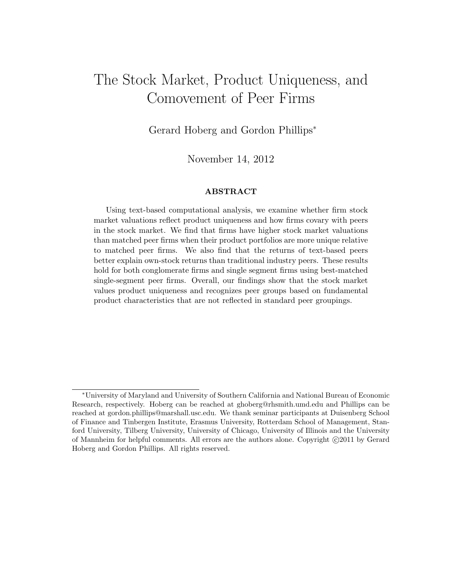# The Stock Market, Product Uniqueness, and Comovement of Peer Firms

Gerard Hoberg and Gordon Phillips<sup>∗</sup>

November 14, 2012

#### ABSTRACT

Using text-based computational analysis, we examine whether firm stock market valuations reflect product uniqueness and how firms covary with peers in the stock market. We find that firms have higher stock market valuations than matched peer firms when their product portfolios are more unique relative to matched peer firms. We also find that the returns of text-based peers better explain own-stock returns than traditional industry peers. These results hold for both conglomerate firms and single segment firms using best-matched single-segment peer firms. Overall, our findings show that the stock market values product uniqueness and recognizes peer groups based on fundamental product characteristics that are not reflected in standard peer groupings.

<sup>∗</sup>University of Maryland and University of Southern California and National Bureau of Economic Research, respectively. Hoberg can be reached at ghoberg@rhsmith.umd.edu and Phillips can be reached at gordon.phillips@marshall.usc.edu. We thank seminar participants at Duisenberg School of Finance and Tinbergen Institute, Erasmus University, Rotterdam School of Management, Stanford University, Tilberg University, University of Chicago, University of Illinois and the University of Mannheim for helpful comments. All errors are the authors alone. Copyright  $\odot$ 2011 by Gerard Hoberg and Gordon Phillips. All rights reserved.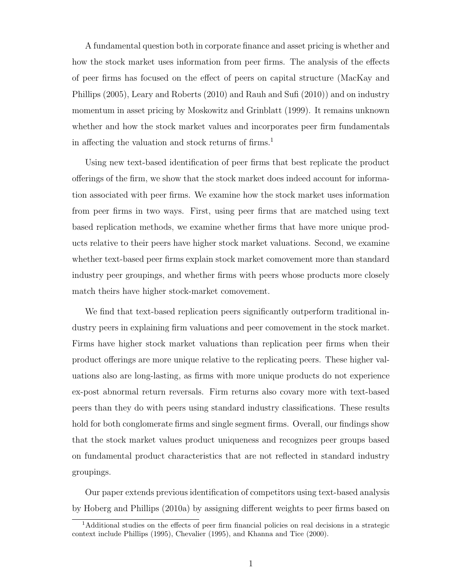A fundamental question both in corporate finance and asset pricing is whether and how the stock market uses information from peer firms. The analysis of the effects of peer firms has focused on the effect of peers on capital structure (MacKay and Phillips (2005), Leary and Roberts (2010) and Rauh and Sufi (2010)) and on industry momentum in asset pricing by Moskowitz and Grinblatt (1999). It remains unknown whether and how the stock market values and incorporates peer firm fundamentals in affecting the valuation and stock returns of  $\mathrm{f} \mathrm{irms.}$ <sup>1</sup>

Using new text-based identification of peer firms that best replicate the product offerings of the firm, we show that the stock market does indeed account for information associated with peer firms. We examine how the stock market uses information from peer firms in two ways. First, using peer firms that are matched using text based replication methods, we examine whether firms that have more unique products relative to their peers have higher stock market valuations. Second, we examine whether text-based peer firms explain stock market comovement more than standard industry peer groupings, and whether firms with peers whose products more closely match theirs have higher stock-market comovement.

We find that text-based replication peers significantly outperform traditional industry peers in explaining firm valuations and peer comovement in the stock market. Firms have higher stock market valuations than replication peer firms when their product offerings are more unique relative to the replicating peers. These higher valuations also are long-lasting, as firms with more unique products do not experience ex-post abnormal return reversals. Firm returns also covary more with text-based peers than they do with peers using standard industry classifications. These results hold for both conglomerate firms and single segment firms. Overall, our findings show that the stock market values product uniqueness and recognizes peer groups based on fundamental product characteristics that are not reflected in standard industry groupings.

Our paper extends previous identification of competitors using text-based analysis by Hoberg and Phillips (2010a) by assigning different weights to peer firms based on

<sup>1</sup>Additional studies on the effects of peer firm financial policies on real decisions in a strategic context include Phillips (1995), Chevalier (1995), and Khanna and Tice (2000).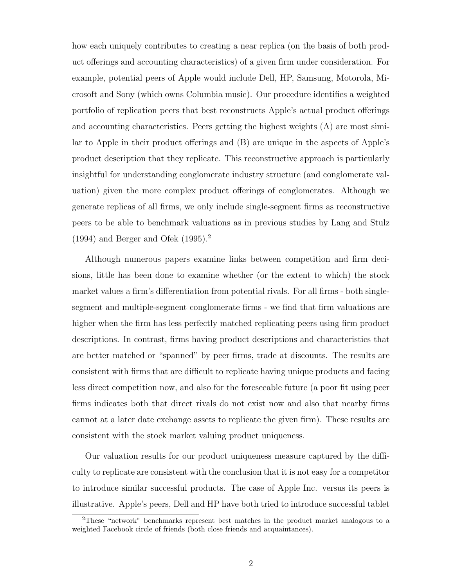how each uniquely contributes to creating a near replica (on the basis of both product offerings and accounting characteristics) of a given firm under consideration. For example, potential peers of Apple would include Dell, HP, Samsung, Motorola, Microsoft and Sony (which owns Columbia music). Our procedure identifies a weighted portfolio of replication peers that best reconstructs Apple's actual product offerings and accounting characteristics. Peers getting the highest weights (A) are most similar to Apple in their product offerings and (B) are unique in the aspects of Apple's product description that they replicate. This reconstructive approach is particularly insightful for understanding conglomerate industry structure (and conglomerate valuation) given the more complex product offerings of conglomerates. Although we generate replicas of all firms, we only include single-segment firms as reconstructive peers to be able to benchmark valuations as in previous studies by Lang and Stulz  $(1994)$  and Berger and Ofek  $(1995).<sup>2</sup>$ 

Although numerous papers examine links between competition and firm decisions, little has been done to examine whether (or the extent to which) the stock market values a firm's differentiation from potential rivals. For all firms - both singlesegment and multiple-segment conglomerate firms - we find that firm valuations are higher when the firm has less perfectly matched replicating peers using firm product descriptions. In contrast, firms having product descriptions and characteristics that are better matched or "spanned" by peer firms, trade at discounts. The results are consistent with firms that are difficult to replicate having unique products and facing less direct competition now, and also for the foreseeable future (a poor fit using peer firms indicates both that direct rivals do not exist now and also that nearby firms cannot at a later date exchange assets to replicate the given firm). These results are consistent with the stock market valuing product uniqueness.

Our valuation results for our product uniqueness measure captured by the difficulty to replicate are consistent with the conclusion that it is not easy for a competitor to introduce similar successful products. The case of Apple Inc. versus its peers is illustrative. Apple's peers, Dell and HP have both tried to introduce successful tablet

<sup>2</sup>These "network" benchmarks represent best matches in the product market analogous to a weighted Facebook circle of friends (both close friends and acquaintances).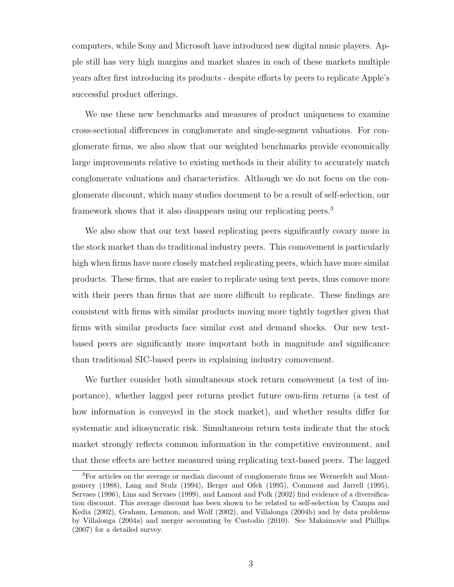computers, while Sony and Microsoft have introduced new digital music players. Apple still has very high margins and market shares in each of these markets multiple years after first introducing its products - despite efforts by peers to replicate Apple's successful product offerings.

We use these new benchmarks and measures of product uniqueness to examine cross-sectional differences in conglomerate and single-segment valuations. For conglomerate firms, we also show that our weighted benchmarks provide economically large improvements relative to existing methods in their ability to accurately match conglomerate valuations and characteristics. Although we do not focus on the conglomerate discount, which many studies document to be a result of self-selection, our framework shows that it also disappears using our replicating peers.<sup>3</sup>

We also show that our text based replicating peers significantly covary more in the stock market than do traditional industry peers. This comovement is particularly high when firms have more closely matched replicating peers, which have more similar products. These firms, that are easier to replicate using text peers, thus comove more with their peers than firms that are more difficult to replicate. These findings are consistent with firms with similar products moving more tightly together given that firms with similar products face similar cost and demand shocks. Our new textbased peers are significantly more important both in magnitude and significance than traditional SIC-based peers in explaining industry comovement.

We further consider both simultaneous stock return comovement (a test of importance), whether lagged peer returns predict future own-firm returns (a test of how information is conveyed in the stock market), and whether results differ for systematic and idiosyncratic risk. Simultaneous return tests indicate that the stock market strongly reflects common information in the competitive environment, and that these effects are better measured using replicating text-based peers. The lagged

<sup>3</sup>For articles on the average or median discount of conglomerate firms see Wernerfelt and Montgomery (1988), Lang and Stulz (1994), Berger and Ofek (1995), Comment and Jarrell (1995), Servaes (1996), Lins and Servaes (1999), and Lamont and Polk (2002) find evidence of a diversification discount. This average discount has been shown to be related to self-selection by Campa and Kedia (2002), Graham, Lemmon, and Wolf (2002), and Villalonga (2004b) and by data problems by Villalonga (2004a) and merger accounting by Custodio (2010). See Maksimovic and Phillips (2007) for a detailed survey.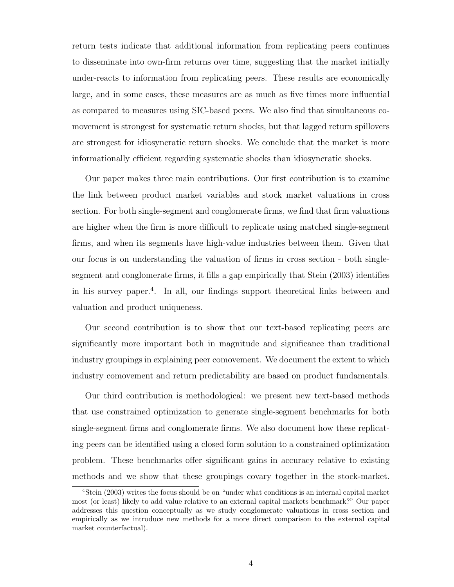return tests indicate that additional information from replicating peers continues to disseminate into own-firm returns over time, suggesting that the market initially under-reacts to information from replicating peers. These results are economically large, and in some cases, these measures are as much as five times more influential as compared to measures using SIC-based peers. We also find that simultaneous comovement is strongest for systematic return shocks, but that lagged return spillovers are strongest for idiosyncratic return shocks. We conclude that the market is more informationally efficient regarding systematic shocks than idiosyncratic shocks.

Our paper makes three main contributions. Our first contribution is to examine the link between product market variables and stock market valuations in cross section. For both single-segment and conglomerate firms, we find that firm valuations are higher when the firm is more difficult to replicate using matched single-segment firms, and when its segments have high-value industries between them. Given that our focus is on understanding the valuation of firms in cross section - both singlesegment and conglomerate firms, it fills a gap empirically that Stein (2003) identifies in his survey paper.<sup>4</sup> . In all, our findings support theoretical links between and valuation and product uniqueness.

Our second contribution is to show that our text-based replicating peers are significantly more important both in magnitude and significance than traditional industry groupings in explaining peer comovement. We document the extent to which industry comovement and return predictability are based on product fundamentals.

Our third contribution is methodological: we present new text-based methods that use constrained optimization to generate single-segment benchmarks for both single-segment firms and conglomerate firms. We also document how these replicating peers can be identified using a closed form solution to a constrained optimization problem. These benchmarks offer significant gains in accuracy relative to existing methods and we show that these groupings covary together in the stock-market.

<sup>4</sup>Stein (2003) writes the focus should be on "under what conditions is an internal capital market most (or least) likely to add value relative to an external capital markets benchmark?" Our paper addresses this question conceptually as we study conglomerate valuations in cross section and empirically as we introduce new methods for a more direct comparison to the external capital market counterfactual).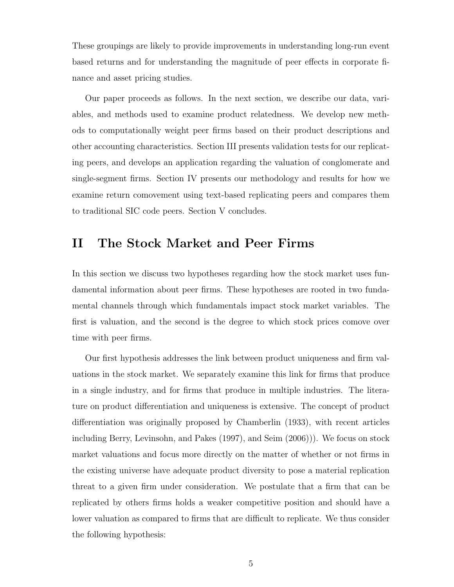These groupings are likely to provide improvements in understanding long-run event based returns and for understanding the magnitude of peer effects in corporate finance and asset pricing studies.

Our paper proceeds as follows. In the next section, we describe our data, variables, and methods used to examine product relatedness. We develop new methods to computationally weight peer firms based on their product descriptions and other accounting characteristics. Section III presents validation tests for our replicating peers, and develops an application regarding the valuation of conglomerate and single-segment firms. Section IV presents our methodology and results for how we examine return comovement using text-based replicating peers and compares them to traditional SIC code peers. Section V concludes.

# II The Stock Market and Peer Firms

In this section we discuss two hypotheses regarding how the stock market uses fundamental information about peer firms. These hypotheses are rooted in two fundamental channels through which fundamentals impact stock market variables. The first is valuation, and the second is the degree to which stock prices comove over time with peer firms.

Our first hypothesis addresses the link between product uniqueness and firm valuations in the stock market. We separately examine this link for firms that produce in a single industry, and for firms that produce in multiple industries. The literature on product differentiation and uniqueness is extensive. The concept of product differentiation was originally proposed by Chamberlin (1933), with recent articles including Berry, Levinsohn, and Pakes (1997), and Seim (2006))). We focus on stock market valuations and focus more directly on the matter of whether or not firms in the existing universe have adequate product diversity to pose a material replication threat to a given firm under consideration. We postulate that a firm that can be replicated by others firms holds a weaker competitive position and should have a lower valuation as compared to firms that are difficult to replicate. We thus consider the following hypothesis: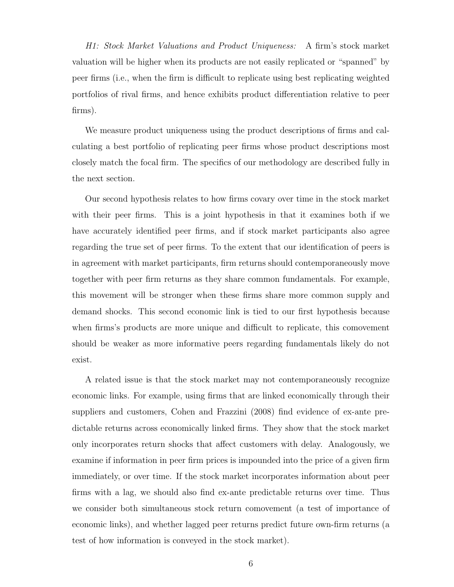H1: Stock Market Valuations and Product Uniqueness: A firm's stock market valuation will be higher when its products are not easily replicated or "spanned" by peer firms (i.e., when the firm is difficult to replicate using best replicating weighted portfolios of rival firms, and hence exhibits product differentiation relative to peer firms).

We measure product uniqueness using the product descriptions of firms and calculating a best portfolio of replicating peer firms whose product descriptions most closely match the focal firm. The specifics of our methodology are described fully in the next section.

Our second hypothesis relates to how firms covary over time in the stock market with their peer firms. This is a joint hypothesis in that it examines both if we have accurately identified peer firms, and if stock market participants also agree regarding the true set of peer firms. To the extent that our identification of peers is in agreement with market participants, firm returns should contemporaneously move together with peer firm returns as they share common fundamentals. For example, this movement will be stronger when these firms share more common supply and demand shocks. This second economic link is tied to our first hypothesis because when firms's products are more unique and difficult to replicate, this comovement should be weaker as more informative peers regarding fundamentals likely do not exist.

A related issue is that the stock market may not contemporaneously recognize economic links. For example, using firms that are linked economically through their suppliers and customers, Cohen and Frazzini (2008) find evidence of ex-ante predictable returns across economically linked firms. They show that the stock market only incorporates return shocks that affect customers with delay. Analogously, we examine if information in peer firm prices is impounded into the price of a given firm immediately, or over time. If the stock market incorporates information about peer firms with a lag, we should also find ex-ante predictable returns over time. Thus we consider both simultaneous stock return comovement (a test of importance of economic links), and whether lagged peer returns predict future own-firm returns (a test of how information is conveyed in the stock market).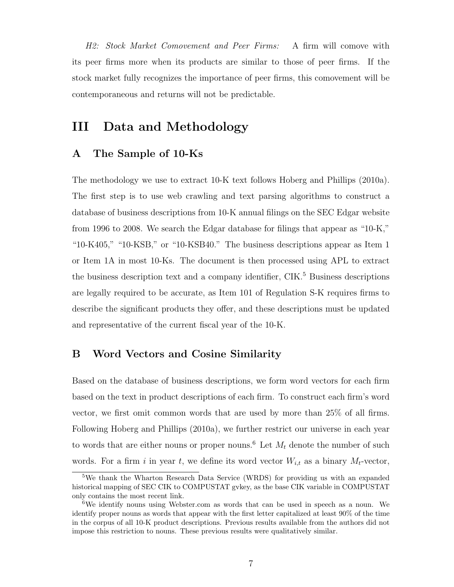H2: Stock Market Comovement and Peer Firms: A firm will comove with its peer firms more when its products are similar to those of peer firms. If the stock market fully recognizes the importance of peer firms, this comovement will be contemporaneous and returns will not be predictable.

# <span id="page-7-0"></span>III Data and Methodology

# A The Sample of 10-Ks

The methodology we use to extract 10-K text follows Hoberg and Phillips (2010a). The first step is to use web crawling and text parsing algorithms to construct a database of business descriptions from 10-K annual filings on the SEC Edgar website from 1996 to 2008. We search the Edgar database for filings that appear as "10-K," "10-K405," "10-KSB," or "10-KSB40." The business descriptions appear as Item 1 or Item 1A in most 10-Ks. The document is then processed using APL to extract the business description text and a company identifier,  $\text{CIK}.^5$  Business descriptions are legally required to be accurate, as Item 101 of Regulation S-K requires firms to describe the significant products they offer, and these descriptions must be updated and representative of the current fiscal year of the 10-K.

## B Word Vectors and Cosine Similarity

Based on the database of business descriptions, we form word vectors for each firm based on the text in product descriptions of each firm. To construct each firm's word vector, we first omit common words that are used by more than 25% of all firms. Following Hoberg and Phillips (2010a), we further restrict our universe in each year to words that are either nouns or proper nouns.<sup>6</sup> Let  $M_t$  denote the number of such words. For a firm i in year t, we define its word vector  $W_{i,t}$  as a binary  $M_t$ -vector,

<sup>5</sup>We thank the Wharton Research Data Service (WRDS) for providing us with an expanded historical mapping of SEC CIK to COMPUSTAT gvkey, as the base CIK variable in COMPUSTAT only contains the most recent link.

<sup>6</sup>We identify nouns using Webster.com as words that can be used in speech as a noun. We identify proper nouns as words that appear with the first letter capitalized at least 90% of the time in the corpus of all 10-K product descriptions. Previous results available from the authors did not impose this restriction to nouns. These previous results were qualitatively similar.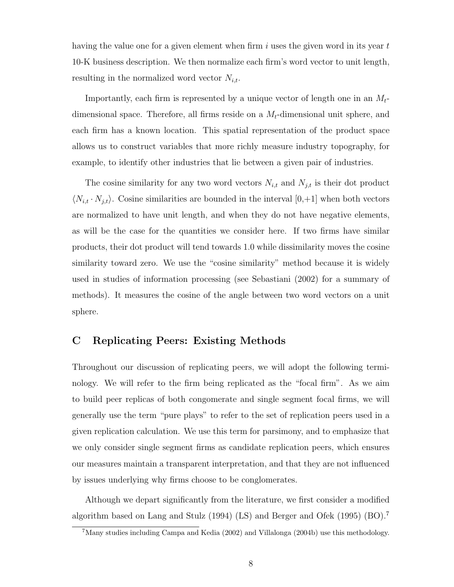having the value one for a given element when firm  $i$  uses the given word in its year  $t$ 10-K business description. We then normalize each firm's word vector to unit length, resulting in the normalized word vector  $N_{i,t}$ .

Importantly, each firm is represented by a unique vector of length one in an  $M_t$ dimensional space. Therefore, all firms reside on a  $M_t$ -dimensional unit sphere, and each firm has a known location. This spatial representation of the product space allows us to construct variables that more richly measure industry topography, for example, to identify other industries that lie between a given pair of industries.

The cosine similarity for any two word vectors  $N_{i,t}$  and  $N_{j,t}$  is their dot product  $\langle N_{i,t} \cdot N_{j,t} \rangle$ . Cosine similarities are bounded in the interval [0,+1] when both vectors are normalized to have unit length, and when they do not have negative elements, as will be the case for the quantities we consider here. If two firms have similar products, their dot product will tend towards 1.0 while dissimilarity moves the cosine similarity toward zero. We use the "cosine similarity" method because it is widely used in studies of information processing (see Sebastiani (2002) for a summary of methods). It measures the cosine of the angle between two word vectors on a unit sphere.

# C Replicating Peers: Existing Methods

Throughout our discussion of replicating peers, we will adopt the following terminology. We will refer to the firm being replicated as the "focal firm". As we aim to build peer replicas of both congomerate and single segment focal firms, we will generally use the term "pure plays" to refer to the set of replication peers used in a given replication calculation. We use this term for parsimony, and to emphasize that we only consider single segment firms as candidate replication peers, which ensures our measures maintain a transparent interpretation, and that they are not influenced by issues underlying why firms choose to be conglomerates.

Although we depart significantly from the literature, we first consider a modified algorithm based on Lang and Stulz (1994) (LS) and Berger and Ofek (1995) (BO).<sup>7</sup>

<sup>7</sup>Many studies including Campa and Kedia (2002) and Villalonga (2004b) use this methodology.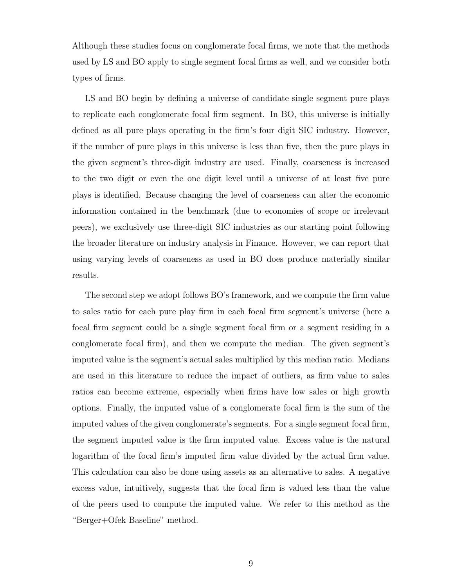Although these studies focus on conglomerate focal firms, we note that the methods used by LS and BO apply to single segment focal firms as well, and we consider both types of firms.

LS and BO begin by defining a universe of candidate single segment pure plays to replicate each conglomerate focal firm segment. In BO, this universe is initially defined as all pure plays operating in the firm's four digit SIC industry. However, if the number of pure plays in this universe is less than five, then the pure plays in the given segment's three-digit industry are used. Finally, coarseness is increased to the two digit or even the one digit level until a universe of at least five pure plays is identified. Because changing the level of coarseness can alter the economic information contained in the benchmark (due to economies of scope or irrelevant peers), we exclusively use three-digit SIC industries as our starting point following the broader literature on industry analysis in Finance. However, we can report that using varying levels of coarseness as used in BO does produce materially similar results.

The second step we adopt follows BO's framework, and we compute the firm value to sales ratio for each pure play firm in each focal firm segment's universe (here a focal firm segment could be a single segment focal firm or a segment residing in a conglomerate focal firm), and then we compute the median. The given segment's imputed value is the segment's actual sales multiplied by this median ratio. Medians are used in this literature to reduce the impact of outliers, as firm value to sales ratios can become extreme, especially when firms have low sales or high growth options. Finally, the imputed value of a conglomerate focal firm is the sum of the imputed values of the given conglomerate's segments. For a single segment focal firm, the segment imputed value is the firm imputed value. Excess value is the natural logarithm of the focal firm's imputed firm value divided by the actual firm value. This calculation can also be done using assets as an alternative to sales. A negative excess value, intuitively, suggests that the focal firm is valued less than the value of the peers used to compute the imputed value. We refer to this method as the "Berger+Ofek Baseline" method.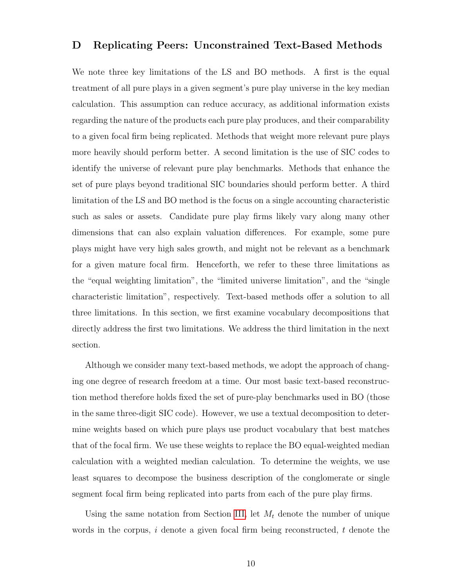### D Replicating Peers: Unconstrained Text-Based Methods

We note three key limitations of the LS and BO methods. A first is the equal treatment of all pure plays in a given segment's pure play universe in the key median calculation. This assumption can reduce accuracy, as additional information exists regarding the nature of the products each pure play produces, and their comparability to a given focal firm being replicated. Methods that weight more relevant pure plays more heavily should perform better. A second limitation is the use of SIC codes to identify the universe of relevant pure play benchmarks. Methods that enhance the set of pure plays beyond traditional SIC boundaries should perform better. A third limitation of the LS and BO method is the focus on a single accounting characteristic such as sales or assets. Candidate pure play firms likely vary along many other dimensions that can also explain valuation differences. For example, some pure plays might have very high sales growth, and might not be relevant as a benchmark for a given mature focal firm. Henceforth, we refer to these three limitations as the "equal weighting limitation", the "limited universe limitation", and the "single characteristic limitation", respectively. Text-based methods offer a solution to all three limitations. In this section, we first examine vocabulary decompositions that directly address the first two limitations. We address the third limitation in the next section.

Although we consider many text-based methods, we adopt the approach of changing one degree of research freedom at a time. Our most basic text-based reconstruction method therefore holds fixed the set of pure-play benchmarks used in BO (those in the same three-digit SIC code). However, we use a textual decomposition to determine weights based on which pure plays use product vocabulary that best matches that of the focal firm. We use these weights to replace the BO equal-weighted median calculation with a weighted median calculation. To determine the weights, we use least squares to decompose the business description of the conglomerate or single segment focal firm being replicated into parts from each of the pure play firms.

Using the same notation from Section [III,](#page-7-0) let  $M_t$  denote the number of unique words in the corpus,  $i$  denote a given focal firm being reconstructed,  $t$  denote the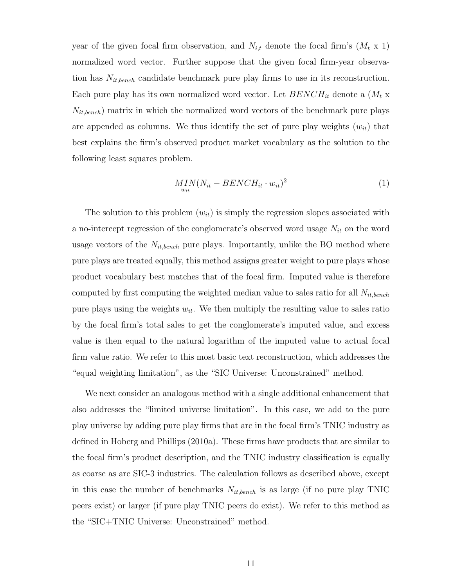year of the given focal firm observation, and  $N_{i,t}$  denote the focal firm's  $(M_t \times 1)$ normalized word vector. Further suppose that the given focal firm-year observation has  $N_{it,bench}$  candidate benchmark pure play firms to use in its reconstruction. Each pure play has its own normalized word vector. Let  $BENCH_{it}$  denote a  $(M_t x)$  $N_{it,bench}$ ) matrix in which the normalized word vectors of the benchmark pure plays are appended as columns. We thus identify the set of pure play weights  $(w_{it})$  that best explains the firm's observed product market vocabulary as the solution to the following least squares problem.

$$
MIN(N_{it} - BENCH_{it} \cdot w_{it})^2
$$
\n<sup>(1)</sup>

The solution to this problem  $(w_{it})$  is simply the regression slopes associated with a no-intercept regression of the conglomerate's observed word usage  $N_{it}$  on the word usage vectors of the  $N_{it,bench}$  pure plays. Importantly, unlike the BO method where pure plays are treated equally, this method assigns greater weight to pure plays whose product vocabulary best matches that of the focal firm. Imputed value is therefore computed by first computing the weighted median value to sales ratio for all  $N_{it,bench}$ pure plays using the weights  $w_{it}$ . We then multiply the resulting value to sales ratio by the focal firm's total sales to get the conglomerate's imputed value, and excess value is then equal to the natural logarithm of the imputed value to actual focal firm value ratio. We refer to this most basic text reconstruction, which addresses the "equal weighting limitation", as the "SIC Universe: Unconstrained" method.

We next consider an analogous method with a single additional enhancement that also addresses the "limited universe limitation". In this case, we add to the pure play universe by adding pure play firms that are in the focal firm's TNIC industry as defined in Hoberg and Phillips (2010a). These firms have products that are similar to the focal firm's product description, and the TNIC industry classification is equally as coarse as are SIC-3 industries. The calculation follows as described above, except in this case the number of benchmarks  $N_{it,bench}$  is as large (if no pure play TNIC peers exist) or larger (if pure play TNIC peers do exist). We refer to this method as the "SIC+TNIC Universe: Unconstrained" method.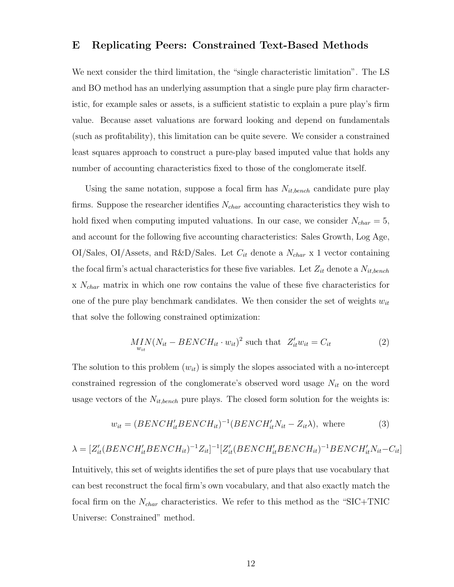### E Replicating Peers: Constrained Text-Based Methods

We next consider the third limitation, the "single characteristic limitation". The LS and BO method has an underlying assumption that a single pure play firm characteristic, for example sales or assets, is a sufficient statistic to explain a pure play's firm value. Because asset valuations are forward looking and depend on fundamentals (such as profitability), this limitation can be quite severe. We consider a constrained least squares approach to construct a pure-play based imputed value that holds any number of accounting characteristics fixed to those of the conglomerate itself.

Using the same notation, suppose a focal firm has  $N_{it,bench}$  candidate pure play firms. Suppose the researcher identifies  $N_{char}$  accounting characteristics they wish to hold fixed when computing imputed valuations. In our case, we consider  $N_{char} = 5$ , and account for the following five accounting characteristics: Sales Growth, Log Age,  $OI/Sales, OI/Assets, and R&D/Sales.$  Let  $C_{it}$  denote a  $N_{char}$  x 1 vector containing the focal firm's actual characteristics for these five variables. Let  $Z_{it}$  denote a  $N_{it,bench}$  $x \, N_{char}$  matrix in which one row contains the value of these five characteristics for one of the pure play benchmark candidates. We then consider the set of weights  $w_{it}$ that solve the following constrained optimization:

$$
MIN(N_{it} - BENCH_{it} \cdot w_{it})^2 \text{ such that } Z'_{it}w_{it} = C_{it}
$$
 (2)

The solution to this problem  $(w_{it})$  is simply the slopes associated with a no-intercept constrained regression of the conglomerate's observed word usage  $N_{it}$  on the word usage vectors of the  $N_{it,bench}$  pure plays. The closed form solution for the weights is:

$$
w_{it} = (BENCH'_{it}BENCH_{it})^{-1}(BENCH'_{it}N_{it} - Z_{it}\lambda), \text{ where } (3)
$$

$$
\lambda = [Z'_{it}(BENCH'_{it}BENCH_{it})^{-1}Z_{it}]^{-1}[Z'_{it}(BENCH'_{it}BENCH_{it})^{-1}BENCH'_{it}N_{it}-C_{it}]
$$

Intuitively, this set of weights identifies the set of pure plays that use vocabulary that can best reconstruct the focal firm's own vocabulary, and that also exactly match the focal firm on the  $N_{char}$  characteristics. We refer to this method as the "SIC+TNIC" Universe: Constrained" method.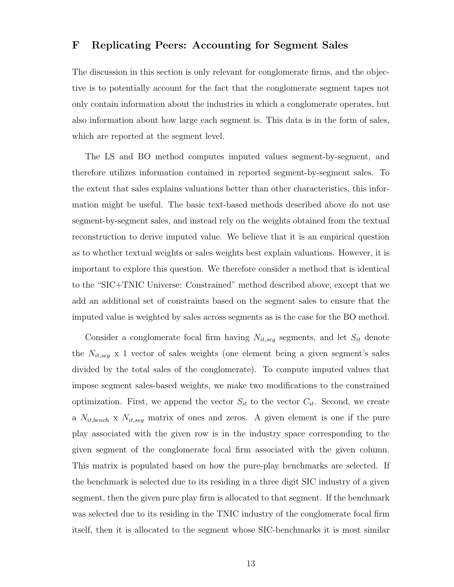## F Replicating Peers: Accounting for Segment Sales

The discussion in this section is only relevant for conglomerate firms, and the objective is to potentially account for the fact that the conglomerate segment tapes not only contain information about the industries in which a conglomerate operates, but also information about how large each segment is. This data is in the form of sales, which are reported at the segment level.

The LS and BO method computes imputed values segment-by-segment, and therefore utilizes information contained in reported segment-by-segment sales. To the extent that sales explains valuations better than other characteristics, this information might be useful. The basic text-based methods described above do not use segment-by-segment sales, and instead rely on the weights obtained from the textual reconstruction to derive imputed value. We believe that it is an empirical question as to whether textual weights or sales weights best explain valuations. However, it is important to explore this question. We therefore consider a method that is identical to the "SIC+TNIC Universe: Constrained" method described above, except that we add an additional set of constraints based on the segment sales to ensure that the imputed value is weighted by sales across segments as is the case for the BO method.

Consider a conglomerate focal firm having  $N_{it,seg}$  segments, and let  $S_{it}$  denote the  $N_{it,seg}$  x 1 vector of sales weights (one element being a given segment's sales divided by the total sales of the conglomerate). To compute imputed values that impose segment sales-based weights, we make two modifications to the constrained optimization. First, we append the vector  $S_{it}$  to the vector  $C_{it}$ . Second, we create a  $N_{it,bench}$  x  $N_{it,seg}$  matrix of ones and zeros. A given element is one if the pure play associated with the given row is in the industry space corresponding to the given segment of the conglomerate focal firm associated with the given column. This matrix is populated based on how the pure-play benchmarks are selected. If the benchmark is selected due to its residing in a three digit SIC industry of a given segment, then the given pure play firm is allocated to that segment. If the benchmark was selected due to its residing in the TNIC industry of the conglomerate focal firm itself, then it is allocated to the segment whose SIC-benchmarks it is most similar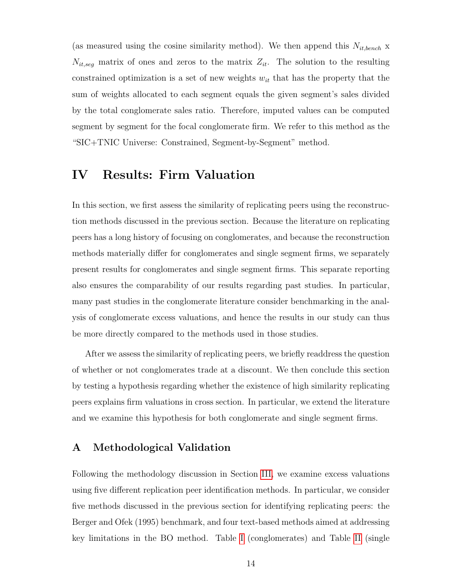(as measured using the cosine similarity method). We then append this  $N_{it,bench}$  x  $N_{it,seg}$  matrix of ones and zeros to the matrix  $Z_{it}$ . The solution to the resulting constrained optimization is a set of new weights  $w_{it}$  that has the property that the sum of weights allocated to each segment equals the given segment's sales divided by the total conglomerate sales ratio. Therefore, imputed values can be computed segment by segment for the focal conglomerate firm. We refer to this method as the "SIC+TNIC Universe: Constrained, Segment-by-Segment" method.

# IV Results: Firm Valuation

In this section, we first assess the similarity of replicating peers using the reconstruction methods discussed in the previous section. Because the literature on replicating peers has a long history of focusing on conglomerates, and because the reconstruction methods materially differ for conglomerates and single segment firms, we separately present results for conglomerates and single segment firms. This separate reporting also ensures the comparability of our results regarding past studies. In particular, many past studies in the conglomerate literature consider benchmarking in the analysis of conglomerate excess valuations, and hence the results in our study can thus be more directly compared to the methods used in those studies.

After we assess the similarity of replicating peers, we briefly readdress the question of whether or not conglomerates trade at a discount. We then conclude this section by testing a hypothesis regarding whether the existence of high similarity replicating peers explains firm valuations in cross section. In particular, we extend the literature and we examine this hypothesis for both conglomerate and single segment firms.

# A Methodological Validation

Following the methodology discussion in Section [III,](#page-7-0) we examine excess valuations using five different replication peer identification methods. In particular, we consider five methods discussed in the previous section for identifying replicating peers: the Berger and Ofek (1995) benchmark, and four text-based methods aimed at addressing key limitations in the BO method. Table [I](#page-35-0) (conglomerates) and Table [II](#page-36-0) (single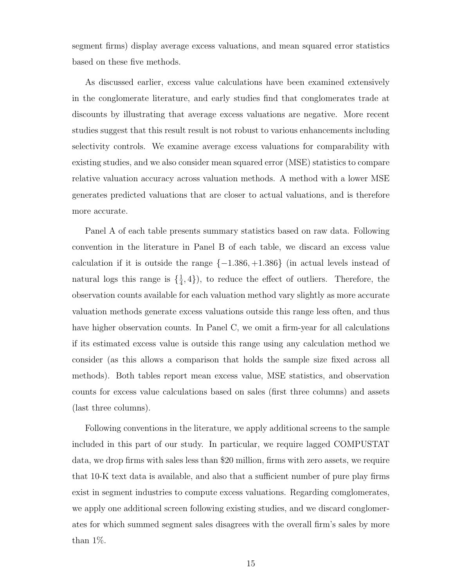segment firms) display average excess valuations, and mean squared error statistics based on these five methods.

As discussed earlier, excess value calculations have been examined extensively in the conglomerate literature, and early studies find that conglomerates trade at discounts by illustrating that average excess valuations are negative. More recent studies suggest that this result result is not robust to various enhancements including selectivity controls. We examine average excess valuations for comparability with existing studies, and we also consider mean squared error (MSE) statistics to compare relative valuation accuracy across valuation methods. A method with a lower MSE generates predicted valuations that are closer to actual valuations, and is therefore more accurate.

Panel A of each table presents summary statistics based on raw data. Following convention in the literature in Panel B of each table, we discard an excess value calculation if it is outside the range  $\{-1.386, +1.386\}$  (in actual levels instead of natural logs this range is  $\{\frac{1}{4}\}$  $(\frac{1}{4}, 4)$ , to reduce the effect of outliers. Therefore, the observation counts available for each valuation method vary slightly as more accurate valuation methods generate excess valuations outside this range less often, and thus have higher observation counts. In Panel C, we omit a firm-year for all calculations if its estimated excess value is outside this range using any calculation method we consider (as this allows a comparison that holds the sample size fixed across all methods). Both tables report mean excess value, MSE statistics, and observation counts for excess value calculations based on sales (first three columns) and assets (last three columns).

Following conventions in the literature, we apply additional screens to the sample included in this part of our study. In particular, we require lagged COMPUSTAT data, we drop firms with sales less than \$20 million, firms with zero assets, we require that 10-K text data is available, and also that a sufficient number of pure play firms exist in segment industries to compute excess valuations. Regarding comglomerates, we apply one additional screen following existing studies, and we discard conglomerates for which summed segment sales disagrees with the overall firm's sales by more than  $1\%$ .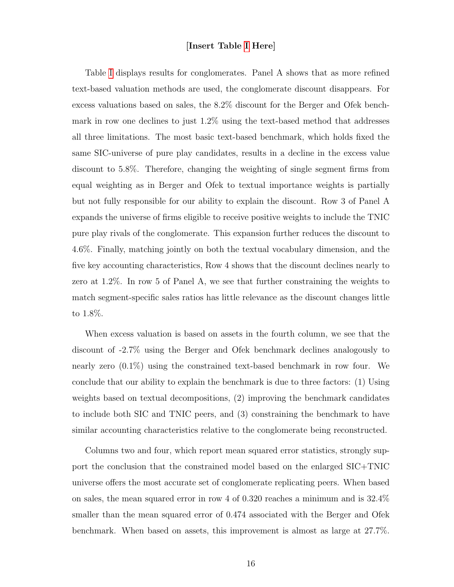### [Insert Table [I](#page-35-0) Here]

Table [I](#page-35-0) displays results for conglomerates. Panel A shows that as more refined text-based valuation methods are used, the conglomerate discount disappears. For excess valuations based on sales, the 8.2% discount for the Berger and Ofek benchmark in row one declines to just 1.2% using the text-based method that addresses all three limitations. The most basic text-based benchmark, which holds fixed the same SIC-universe of pure play candidates, results in a decline in the excess value discount to 5.8%. Therefore, changing the weighting of single segment firms from equal weighting as in Berger and Ofek to textual importance weights is partially but not fully responsible for our ability to explain the discount. Row 3 of Panel A expands the universe of firms eligible to receive positive weights to include the TNIC pure play rivals of the conglomerate. This expansion further reduces the discount to 4.6%. Finally, matching jointly on both the textual vocabulary dimension, and the five key accounting characteristics, Row 4 shows that the discount declines nearly to zero at 1.2%. In row 5 of Panel A, we see that further constraining the weights to match segment-specific sales ratios has little relevance as the discount changes little to 1.8%.

When excess valuation is based on assets in the fourth column, we see that the discount of -2.7% using the Berger and Ofek benchmark declines analogously to nearly zero (0.1%) using the constrained text-based benchmark in row four. We conclude that our ability to explain the benchmark is due to three factors: (1) Using weights based on textual decompositions, (2) improving the benchmark candidates to include both SIC and TNIC peers, and (3) constraining the benchmark to have similar accounting characteristics relative to the conglomerate being reconstructed.

Columns two and four, which report mean squared error statistics, strongly support the conclusion that the constrained model based on the enlarged SIC+TNIC universe offers the most accurate set of conglomerate replicating peers. When based on sales, the mean squared error in row 4 of 0.320 reaches a minimum and is 32.4% smaller than the mean squared error of 0.474 associated with the Berger and Ofek benchmark. When based on assets, this improvement is almost as large at 27.7%.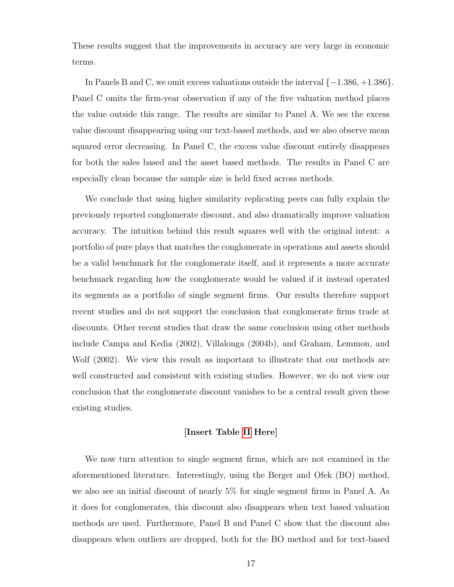These results suggest that the improvements in accuracy are very large in economic terms.

In Panels B and C, we omit excess valuations outside the interval {−1.386, +1.386}. Panel C omits the firm-year observation if any of the five valuation method places the value outside this range. The results are similar to Panel A. We see the excess value discount disappearing using our text-based methods, and we also observe mean squared error decreasing. In Panel C, the excess value discount entirely disappears for both the sales based and the asset based methods. The results in Panel C are especially clean because the sample size is held fixed across methods.

We conclude that using higher similarity replicating peers can fully explain the previously reported conglomerate discount, and also dramatically improve valuation accuracy. The intuition behind this result squares well with the original intent: a portfolio of pure plays that matches the conglomerate in operations and assets should be a valid benchmark for the conglomerate itself, and it represents a more accurate benchmark regarding how the conglomerate would be valued if it instead operated its segments as a portfolio of single segment firms. Our results therefore support recent studies and do not support the conclusion that conglomerate firms trade at discounts. Other recent studies that draw the same conclusion using other methods include Campa and Kedia (2002), Villalonga (2004b), and Graham, Lemmon, and Wolf (2002). We view this result as important to illustrate that our methods are well constructed and consistent with existing studies. However, we do not view our conclusion that the conglomerate discount vanishes to be a central result given these existing studies.

### [Insert Table [II](#page-36-0) Here]

We now turn attention to single segment firms, which are not examined in the aforementioned literature. Interestingly, using the Berger and Ofek (BO) method, we also see an initial discount of nearly 5% for single segment firms in Panel A. As it does for conglomerates, this discount also disappears when text based valuation methods are used. Furthermore, Panel B and Panel C show that the discount also disappears when outliers are dropped, both for the BO method and for text-based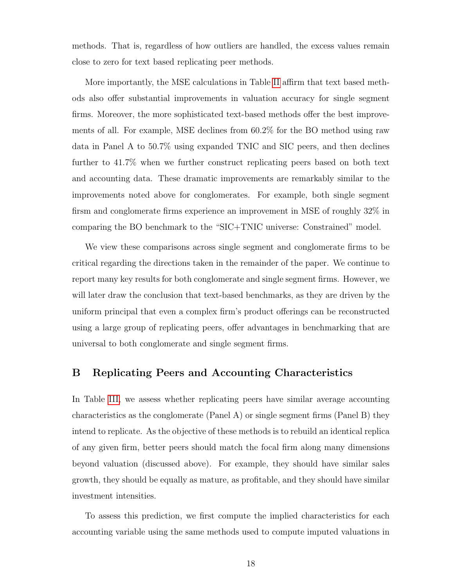methods. That is, regardless of how outliers are handled, the excess values remain close to zero for text based replicating peer methods.

More importantly, the MSE calculations in Table [II](#page-36-0) affirm that text based methods also offer substantial improvements in valuation accuracy for single segment firms. Moreover, the more sophisticated text-based methods offer the best improvements of all. For example, MSE declines from 60.2% for the BO method using raw data in Panel A to 50.7% using expanded TNIC and SIC peers, and then declines further to 41.7% when we further construct replicating peers based on both text and accounting data. These dramatic improvements are remarkably similar to the improvements noted above for conglomerates. For example, both single segment firsm and conglomerate firms experience an improvement in MSE of roughly 32% in comparing the BO benchmark to the "SIC+TNIC universe: Constrained" model.

We view these comparisons across single segment and conglomerate firms to be critical regarding the directions taken in the remainder of the paper. We continue to report many key results for both conglomerate and single segment firms. However, we will later draw the conclusion that text-based benchmarks, as they are driven by the uniform principal that even a complex firm's product offerings can be reconstructed using a large group of replicating peers, offer advantages in benchmarking that are universal to both conglomerate and single segment firms.

# B Replicating Peers and Accounting Characteristics

In Table [III,](#page-37-0) we assess whether replicating peers have similar average accounting characteristics as the conglomerate (Panel A) or single segment firms (Panel B) they intend to replicate. As the objective of these methods is to rebuild an identical replica of any given firm, better peers should match the focal firm along many dimensions beyond valuation (discussed above). For example, they should have similar sales growth, they should be equally as mature, as profitable, and they should have similar investment intensities.

To assess this prediction, we first compute the implied characteristics for each accounting variable using the same methods used to compute imputed valuations in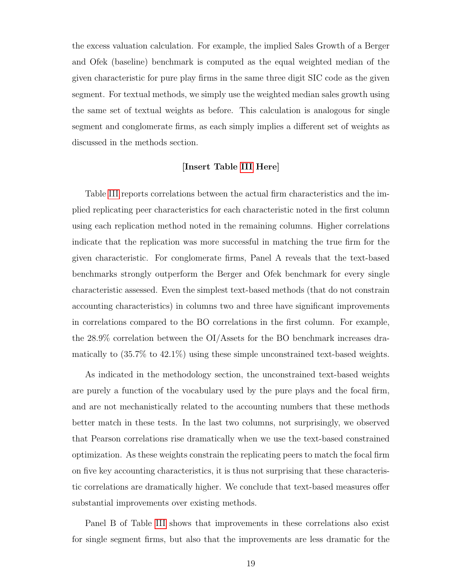the excess valuation calculation. For example, the implied Sales Growth of a Berger and Ofek (baseline) benchmark is computed as the equal weighted median of the given characteristic for pure play firms in the same three digit SIC code as the given segment. For textual methods, we simply use the weighted median sales growth using the same set of textual weights as before. This calculation is analogous for single segment and conglomerate firms, as each simply implies a different set of weights as discussed in the methods section.

### [Insert Table [III](#page-37-0) Here]

Table [III](#page-37-0) reports correlations between the actual firm characteristics and the implied replicating peer characteristics for each characteristic noted in the first column using each replication method noted in the remaining columns. Higher correlations indicate that the replication was more successful in matching the true firm for the given characteristic. For conglomerate firms, Panel A reveals that the text-based benchmarks strongly outperform the Berger and Ofek benchmark for every single characteristic assessed. Even the simplest text-based methods (that do not constrain accounting characteristics) in columns two and three have significant improvements in correlations compared to the BO correlations in the first column. For example, the 28.9% correlation between the OI/Assets for the BO benchmark increases dramatically to (35.7% to 42.1%) using these simple unconstrained text-based weights.

As indicated in the methodology section, the unconstrained text-based weights are purely a function of the vocabulary used by the pure plays and the focal firm, and are not mechanistically related to the accounting numbers that these methods better match in these tests. In the last two columns, not surprisingly, we observed that Pearson correlations rise dramatically when we use the text-based constrained optimization. As these weights constrain the replicating peers to match the focal firm on five key accounting characteristics, it is thus not surprising that these characteristic correlations are dramatically higher. We conclude that text-based measures offer substantial improvements over existing methods.

Panel B of Table [III](#page-37-0) shows that improvements in these correlations also exist for single segment firms, but also that the improvements are less dramatic for the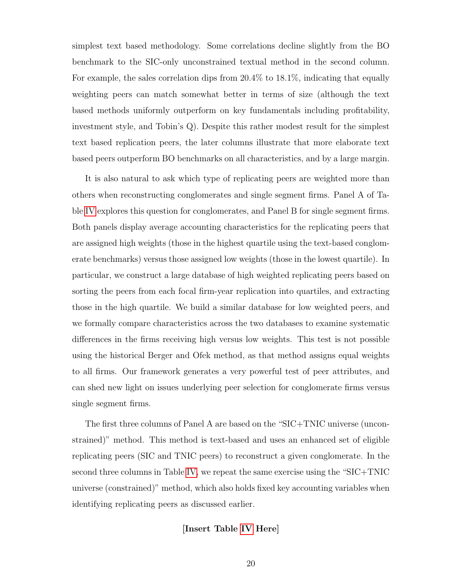simplest text based methodology. Some correlations decline slightly from the BO benchmark to the SIC-only unconstrained textual method in the second column. For example, the sales correlation dips from 20.4% to 18.1%, indicating that equally weighting peers can match somewhat better in terms of size (although the text based methods uniformly outperform on key fundamentals including profitability, investment style, and Tobin's Q). Despite this rather modest result for the simplest text based replication peers, the later columns illustrate that more elaborate text based peers outperform BO benchmarks on all characteristics, and by a large margin.

It is also natural to ask which type of replicating peers are weighted more than others when reconstructing conglomerates and single segment firms. Panel A of Table [IV](#page-38-0) explores this question for conglomerates, and Panel B for single segment firms. Both panels display average accounting characteristics for the replicating peers that are assigned high weights (those in the highest quartile using the text-based conglomerate benchmarks) versus those assigned low weights (those in the lowest quartile). In particular, we construct a large database of high weighted replicating peers based on sorting the peers from each focal firm-year replication into quartiles, and extracting those in the high quartile. We build a similar database for low weighted peers, and we formally compare characteristics across the two databases to examine systematic differences in the firms receiving high versus low weights. This test is not possible using the historical Berger and Ofek method, as that method assigns equal weights to all firms. Our framework generates a very powerful test of peer attributes, and can shed new light on issues underlying peer selection for conglomerate firms versus single segment firms.

The first three columns of Panel A are based on the "SIC+TNIC universe (unconstrained)" method. This method is text-based and uses an enhanced set of eligible replicating peers (SIC and TNIC peers) to reconstruct a given conglomerate. In the second three columns in Table [IV,](#page-38-0) we repeat the same exercise using the "SIC+TNIC universe (constrained)" method, which also holds fixed key accounting variables when identifying replicating peers as discussed earlier.

### [Insert Table [IV](#page-38-0) Here]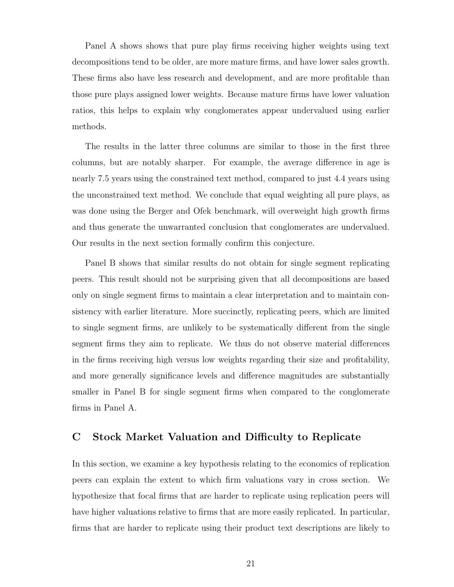Panel A shows shows that pure play firms receiving higher weights using text decompositions tend to be older, are more mature firms, and have lower sales growth. These firms also have less research and development, and are more profitable than those pure plays assigned lower weights. Because mature firms have lower valuation ratios, this helps to explain why conglomerates appear undervalued using earlier methods.

The results in the latter three columns are similar to those in the first three columns, but are notably sharper. For example, the average difference in age is nearly 7.5 years using the constrained text method, compared to just 4.4 years using the unconstrained text method. We conclude that equal weighting all pure plays, as was done using the Berger and Ofek benchmark, will overweight high growth firms and thus generate the unwarranted conclusion that conglomerates are undervalued. Our results in the next section formally confirm this conjecture.

Panel B shows that similar results do not obtain for single segment replicating peers. This result should not be surprising given that all decompositions are based only on single segment firms to maintain a clear interpretation and to maintain consistency with earlier literature. More succinctly, replicating peers, which are limited to single segment firms, are unlikely to be systematically different from the single segment firms they aim to replicate. We thus do not observe material differences in the firms receiving high versus low weights regarding their size and profitability, and more generally significance levels and difference magnitudes are substantially smaller in Panel B for single segment firms when compared to the conglomerate firms in Panel A.

## C Stock Market Valuation and Difficulty to Replicate

In this section, we examine a key hypothesis relating to the economics of replication peers can explain the extent to which firm valuations vary in cross section. We hypothesize that focal firms that are harder to replicate using replication peers will have higher valuations relative to firms that are more easily replicated. In particular, firms that are harder to replicate using their product text descriptions are likely to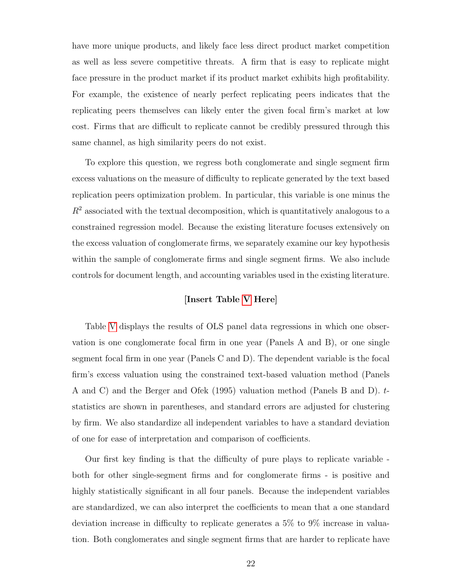have more unique products, and likely face less direct product market competition as well as less severe competitive threats. A firm that is easy to replicate might face pressure in the product market if its product market exhibits high profitability. For example, the existence of nearly perfect replicating peers indicates that the replicating peers themselves can likely enter the given focal firm's market at low cost. Firms that are difficult to replicate cannot be credibly pressured through this same channel, as high similarity peers do not exist.

To explore this question, we regress both conglomerate and single segment firm excess valuations on the measure of difficulty to replicate generated by the text based replication peers optimization problem. In particular, this variable is one minus the  $R<sup>2</sup>$  associated with the textual decomposition, which is quantitatively analogous to a constrained regression model. Because the existing literature focuses extensively on the excess valuation of conglomerate firms, we separately examine our key hypothesis within the sample of conglomerate firms and single segment firms. We also include controls for document length, and accounting variables used in the existing literature.

## [Insert Table [V](#page-39-0) Here]

Table [V](#page-39-0) displays the results of OLS panel data regressions in which one observation is one conglomerate focal firm in one year (Panels A and B), or one single segment focal firm in one year (Panels C and D). The dependent variable is the focal firm's excess valuation using the constrained text-based valuation method (Panels A and C) and the Berger and Ofek (1995) valuation method (Panels B and D). tstatistics are shown in parentheses, and standard errors are adjusted for clustering by firm. We also standardize all independent variables to have a standard deviation of one for ease of interpretation and comparison of coefficients.

Our first key finding is that the difficulty of pure plays to replicate variable both for other single-segment firms and for conglomerate firms - is positive and highly statistically significant in all four panels. Because the independent variables are standardized, we can also interpret the coefficients to mean that a one standard deviation increase in difficulty to replicate generates a 5% to 9% increase in valuation. Both conglomerates and single segment firms that are harder to replicate have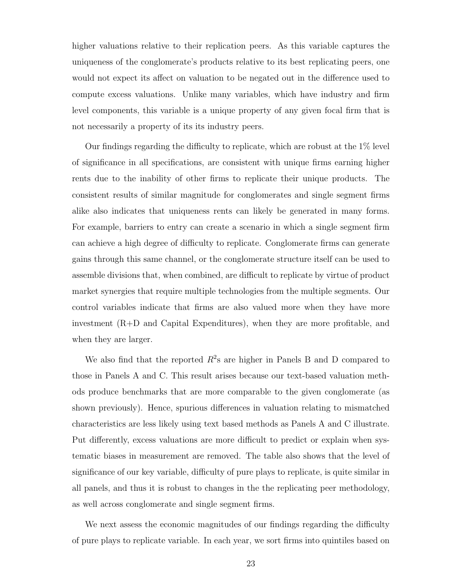higher valuations relative to their replication peers. As this variable captures the uniqueness of the conglomerate's products relative to its best replicating peers, one would not expect its affect on valuation to be negated out in the difference used to compute excess valuations. Unlike many variables, which have industry and firm level components, this variable is a unique property of any given focal firm that is not necessarily a property of its its industry peers.

Our findings regarding the difficulty to replicate, which are robust at the 1% level of significance in all specifications, are consistent with unique firms earning higher rents due to the inability of other firms to replicate their unique products. The consistent results of similar magnitude for conglomerates and single segment firms alike also indicates that uniqueness rents can likely be generated in many forms. For example, barriers to entry can create a scenario in which a single segment firm can achieve a high degree of difficulty to replicate. Conglomerate firms can generate gains through this same channel, or the conglomerate structure itself can be used to assemble divisions that, when combined, are difficult to replicate by virtue of product market synergies that require multiple technologies from the multiple segments. Our control variables indicate that firms are also valued more when they have more investment (R+D and Capital Expenditures), when they are more profitable, and when they are larger.

We also find that the reported  $R^2$ s are higher in Panels B and D compared to those in Panels A and C. This result arises because our text-based valuation methods produce benchmarks that are more comparable to the given conglomerate (as shown previously). Hence, spurious differences in valuation relating to mismatched characteristics are less likely using text based methods as Panels A and C illustrate. Put differently, excess valuations are more difficult to predict or explain when systematic biases in measurement are removed. The table also shows that the level of significance of our key variable, difficulty of pure plays to replicate, is quite similar in all panels, and thus it is robust to changes in the the replicating peer methodology, as well across conglomerate and single segment firms.

We next assess the economic magnitudes of our findings regarding the difficulty of pure plays to replicate variable. In each year, we sort firms into quintiles based on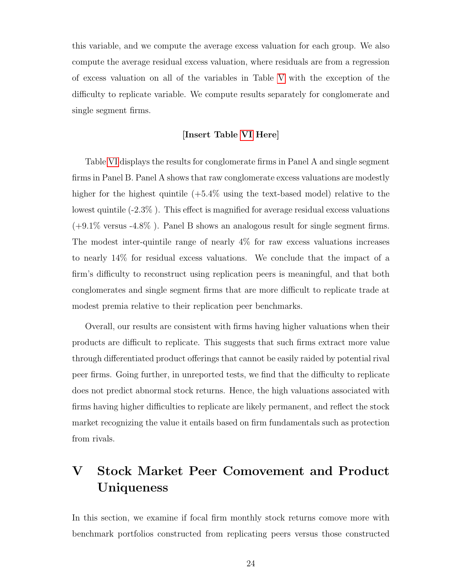this variable, and we compute the average excess valuation for each group. We also compute the average residual excess valuation, where residuals are from a regression of excess valuation on all of the variables in Table [V](#page-39-0) with the exception of the difficulty to replicate variable. We compute results separately for conglomerate and single segment firms.

### [Insert Table [VI](#page-40-0) Here]

Table [VI](#page-40-0) displays the results for conglomerate firms in Panel A and single segment firms in Panel B. Panel A shows that raw conglomerate excess valuations are modestly higher for the highest quintile  $(+5.4\%$  using the text-based model) relative to the lowest quintile (-2.3% ). This effect is magnified for average residual excess valuations (+9.1% versus -4.8% ). Panel B shows an analogous result for single segment firms. The modest inter-quintile range of nearly 4% for raw excess valuations increases to nearly 14% for residual excess valuations. We conclude that the impact of a firm's difficulty to reconstruct using replication peers is meaningful, and that both conglomerates and single segment firms that are more difficult to replicate trade at modest premia relative to their replication peer benchmarks.

Overall, our results are consistent with firms having higher valuations when their products are difficult to replicate. This suggests that such firms extract more value through differentiated product offerings that cannot be easily raided by potential rival peer firms. Going further, in unreported tests, we find that the difficulty to replicate does not predict abnormal stock returns. Hence, the high valuations associated with firms having higher difficulties to replicate are likely permanent, and reflect the stock market recognizing the value it entails based on firm fundamentals such as protection from rivals.

# V Stock Market Peer Comovement and Product Uniqueness

In this section, we examine if focal firm monthly stock returns comove more with benchmark portfolios constructed from replicating peers versus those constructed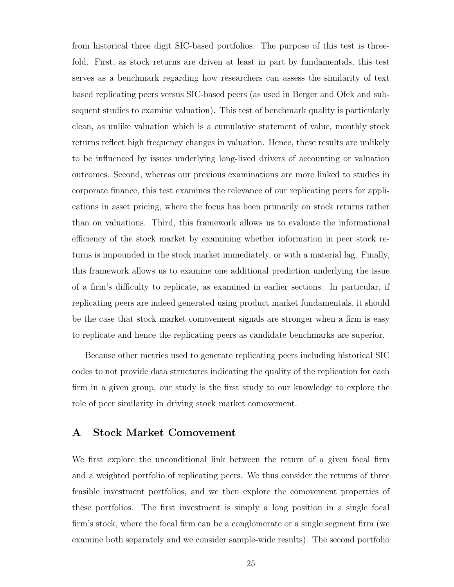from historical three digit SIC-based portfolios. The purpose of this test is threefold. First, as stock returns are driven at least in part by fundamentals, this test serves as a benchmark regarding how researchers can assess the similarity of text based replicating peers versus SIC-based peers (as used in Berger and Ofek and subsequent studies to examine valuation). This test of benchmark quality is particularly clean, as unlike valuation which is a cumulative statement of value, monthly stock returns reflect high frequency changes in valuation. Hence, these results are unlikely to be influenced by issues underlying long-lived drivers of accounting or valuation outcomes. Second, whereas our previous examinations are more linked to studies in corporate finance, this test examines the relevance of our replicating peers for applications in asset pricing, where the focus has been primarily on stock returns rather than on valuations. Third, this framework allows us to evaluate the informational efficiency of the stock market by examining whether information in peer stock returns is impounded in the stock market immediately, or with a material lag. Finally, this framework allows us to examine one additional prediction underlying the issue of a firm's difficulty to replicate, as examined in earlier sections. In particular, if replicating peers are indeed generated using product market fundamentals, it should be the case that stock market comovement signals are stronger when a firm is easy to replicate and hence the replicating peers as candidate benchmarks are superior.

Because other metrics used to generate replicating peers including historical SIC codes to not provide data structures indicating the quality of the replication for each firm in a given group, our study is the first study to our knowledge to explore the role of peer similarity in driving stock market comovement.

## A Stock Market Comovement

We first explore the unconditional link between the return of a given focal firm and a weighted portfolio of replicating peers. We thus consider the returns of three feasible investment portfolios, and we then explore the comovement properties of these portfolios. The first investment is simply a long position in a single focal firm's stock, where the focal firm can be a conglomerate or a single segment firm (we examine both separately and we consider sample-wide results). The second portfolio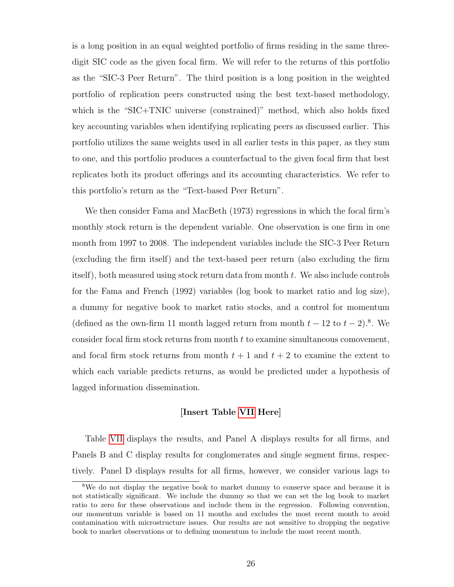is a long position in an equal weighted portfolio of firms residing in the same threedigit SIC code as the given focal firm. We will refer to the returns of this portfolio as the "SIC-3 Peer Return". The third position is a long position in the weighted portfolio of replication peers constructed using the best text-based methodology, which is the "SIC+TNIC universe (constrained)" method, which also holds fixed key accounting variables when identifying replicating peers as discussed earlier. This portfolio utilizes the same weights used in all earlier tests in this paper, as they sum to one, and this portfolio produces a counterfactual to the given focal firm that best replicates both its product offerings and its accounting characteristics. We refer to this portfolio's return as the "Text-based Peer Return".

We then consider Fama and MacBeth (1973) regressions in which the focal firm's monthly stock return is the dependent variable. One observation is one firm in one month from 1997 to 2008. The independent variables include the SIC-3 Peer Return (excluding the firm itself) and the text-based peer return (also excluding the firm itself), both measured using stock return data from month t. We also include controls for the Fama and French (1992) variables (log book to market ratio and log size), a dummy for negative book to market ratio stocks, and a control for momentum (defined as the own-firm 11 month lagged return from month  $t - 12$  to  $t - 2$ ).<sup>8</sup>. We consider focal firm stock returns from month t to examine simultaneous comovement, and focal firm stock returns from month  $t + 1$  and  $t + 2$  to examine the extent to which each variable predicts returns, as would be predicted under a hypothesis of lagged information dissemination.

### [Insert Table [VII](#page-41-0) Here]

Table [VII](#page-41-0) displays the results, and Panel A displays results for all firms, and Panels B and C display results for conglomerates and single segment firms, respectively. Panel D displays results for all firms, however, we consider various lags to

<sup>&</sup>lt;sup>8</sup>We do not display the negative book to market dummy to conserve space and because it is not statistically significant. We include the dummy so that we can set the log book to market ratio to zero for these observations and include them in the regression. Following convention, our momentum variable is based on 11 months and excludes the most recent month to avoid contamination with microstructure issues. Our results are not sensitive to dropping the negative book to market observations or to defining momentum to include the most recent month.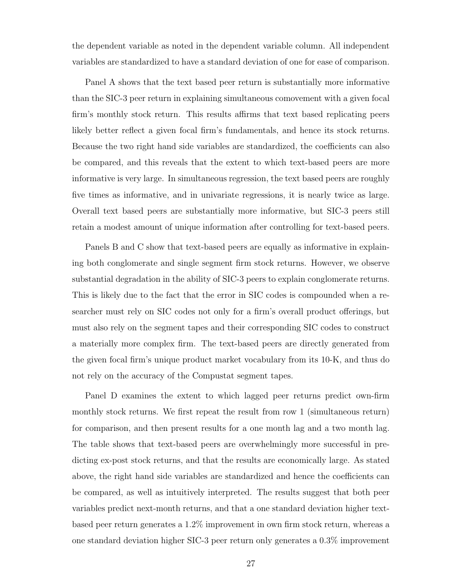the dependent variable as noted in the dependent variable column. All independent variables are standardized to have a standard deviation of one for ease of comparison.

Panel A shows that the text based peer return is substantially more informative than the SIC-3 peer return in explaining simultaneous comovement with a given focal firm's monthly stock return. This results affirms that text based replicating peers likely better reflect a given focal firm's fundamentals, and hence its stock returns. Because the two right hand side variables are standardized, the coefficients can also be compared, and this reveals that the extent to which text-based peers are more informative is very large. In simultaneous regression, the text based peers are roughly five times as informative, and in univariate regressions, it is nearly twice as large. Overall text based peers are substantially more informative, but SIC-3 peers still retain a modest amount of unique information after controlling for text-based peers.

Panels B and C show that text-based peers are equally as informative in explaining both conglomerate and single segment firm stock returns. However, we observe substantial degradation in the ability of SIC-3 peers to explain conglomerate returns. This is likely due to the fact that the error in SIC codes is compounded when a researcher must rely on SIC codes not only for a firm's overall product offerings, but must also rely on the segment tapes and their corresponding SIC codes to construct a materially more complex firm. The text-based peers are directly generated from the given focal firm's unique product market vocabulary from its 10-K, and thus do not rely on the accuracy of the Compustat segment tapes.

Panel D examines the extent to which lagged peer returns predict own-firm monthly stock returns. We first repeat the result from row 1 (simultaneous return) for comparison, and then present results for a one month lag and a two month lag. The table shows that text-based peers are overwhelmingly more successful in predicting ex-post stock returns, and that the results are economically large. As stated above, the right hand side variables are standardized and hence the coefficients can be compared, as well as intuitively interpreted. The results suggest that both peer variables predict next-month returns, and that a one standard deviation higher textbased peer return generates a 1.2% improvement in own firm stock return, whereas a one standard deviation higher SIC-3 peer return only generates a 0.3% improvement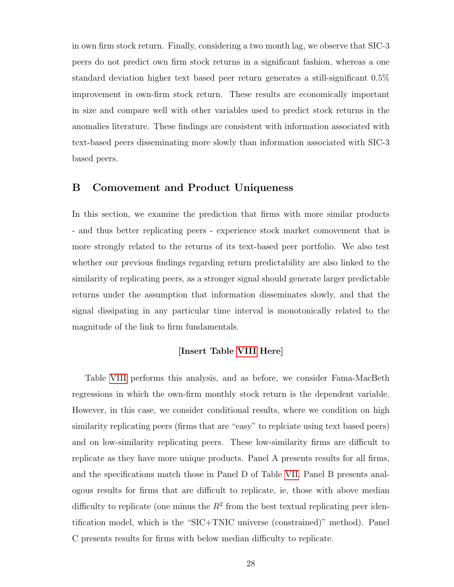in own firm stock return. Finally, considering a two month lag, we observe that SIC-3 peers do not predict own firm stock returns in a significant fashion, whereas a one standard deviation higher text based peer return generates a still-significant 0.5% improvement in own-firm stock return. These results are economically important in size and compare well with other variables used to predict stock returns in the anomalies literature. These findings are consistent with information associated with text-based peers disseminating more slowly than information associated with SIC-3 based peers.

## B Comovement and Product Uniqueness

In this section, we examine the prediction that firms with more similar products - and thus better replicating peers - experience stock market comovement that is more strongly related to the returns of its text-based peer portfolio. We also test whether our previous findings regarding return predictability are also linked to the similarity of replicating peers, as a stronger signal should generate larger predictable returns under the assumption that information disseminates slowly, and that the signal dissipating in any particular time interval is monotonically related to the magnitude of the link to firm fundamentals.

### [Insert Table [VIII](#page-42-0) Here]

Table [VIII](#page-42-0) performs this analysis, and as before, we consider Fama-MacBeth regressions in which the own-firm monthly stock return is the dependent variable. However, in this case, we consider conditional results, where we condition on high similarity replicating peers (firms that are "easy" to replciate using text based peers) and on low-similarity replicating peers. These low-similarity firms are difficult to replicate as they have more unique products. Panel A presents results for all firms, and the specifications match those in Panel D of Table [VII.](#page-41-0) Panel B presents analogous results for firms that are difficult to replicate, ie, those with above median difficulty to replicate (one minus the  $R^2$  from the best textual replicating peer identification model, which is the "SIC+TNIC universe (constrained)" method). Panel C presents results for firms with below median difficulty to replicate.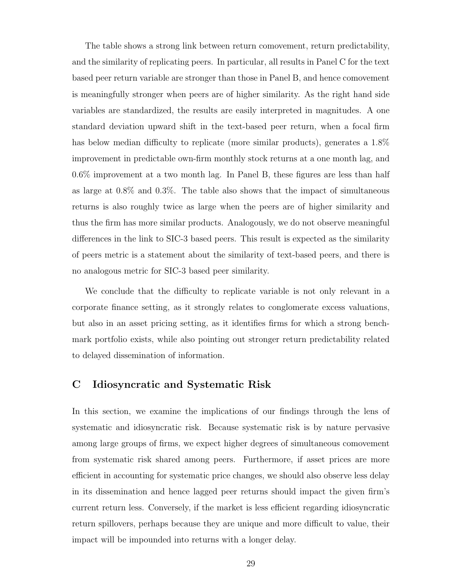The table shows a strong link between return comovement, return predictability, and the similarity of replicating peers. In particular, all results in Panel C for the text based peer return variable are stronger than those in Panel B, and hence comovement is meaningfully stronger when peers are of higher similarity. As the right hand side variables are standardized, the results are easily interpreted in magnitudes. A one standard deviation upward shift in the text-based peer return, when a focal firm has below median difficulty to replicate (more similar products), generates a 1.8% improvement in predictable own-firm monthly stock returns at a one month lag, and 0.6% improvement at a two month lag. In Panel B, these figures are less than half as large at 0.8% and 0.3%. The table also shows that the impact of simultaneous returns is also roughly twice as large when the peers are of higher similarity and thus the firm has more similar products. Analogously, we do not observe meaningful differences in the link to SIC-3 based peers. This result is expected as the similarity of peers metric is a statement about the similarity of text-based peers, and there is no analogous metric for SIC-3 based peer similarity.

We conclude that the difficulty to replicate variable is not only relevant in a corporate finance setting, as it strongly relates to conglomerate excess valuations, but also in an asset pricing setting, as it identifies firms for which a strong benchmark portfolio exists, while also pointing out stronger return predictability related to delayed dissemination of information.

# C Idiosyncratic and Systematic Risk

In this section, we examine the implications of our findings through the lens of systematic and idiosyncratic risk. Because systematic risk is by nature pervasive among large groups of firms, we expect higher degrees of simultaneous comovement from systematic risk shared among peers. Furthermore, if asset prices are more efficient in accounting for systematic price changes, we should also observe less delay in its dissemination and hence lagged peer returns should impact the given firm's current return less. Conversely, if the market is less efficient regarding idiosyncratic return spillovers, perhaps because they are unique and more difficult to value, their impact will be impounded into returns with a longer delay.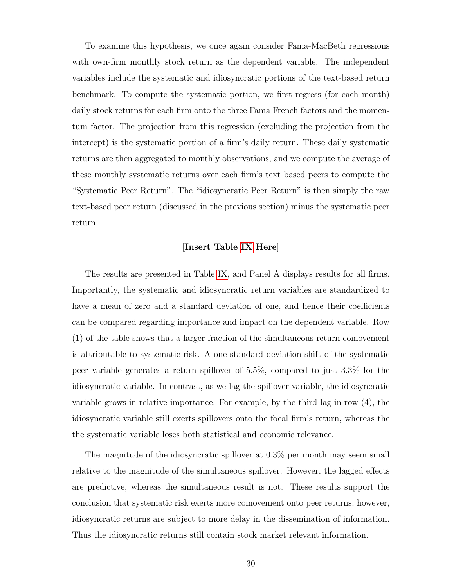To examine this hypothesis, we once again consider Fama-MacBeth regressions with own-firm monthly stock return as the dependent variable. The independent variables include the systematic and idiosyncratic portions of the text-based return benchmark. To compute the systematic portion, we first regress (for each month) daily stock returns for each firm onto the three Fama French factors and the momentum factor. The projection from this regression (excluding the projection from the intercept) is the systematic portion of a firm's daily return. These daily systematic returns are then aggregated to monthly observations, and we compute the average of these monthly systematic returns over each firm's text based peers to compute the "Systematic Peer Return". The "idiosyncratic Peer Return" is then simply the raw text-based peer return (discussed in the previous section) minus the systematic peer return.

### [Insert Table [IX](#page-43-0) Here]

The results are presented in Table [IX,](#page-43-0) and Panel A displays results for all firms. Importantly, the systematic and idiosyncratic return variables are standardized to have a mean of zero and a standard deviation of one, and hence their coefficients can be compared regarding importance and impact on the dependent variable. Row (1) of the table shows that a larger fraction of the simultaneous return comovement is attributable to systematic risk. A one standard deviation shift of the systematic peer variable generates a return spillover of 5.5%, compared to just 3.3% for the idiosyncratic variable. In contrast, as we lag the spillover variable, the idiosyncratic variable grows in relative importance. For example, by the third lag in row (4), the idiosyncratic variable still exerts spillovers onto the focal firm's return, whereas the the systematic variable loses both statistical and economic relevance.

The magnitude of the idiosyncratic spillover at 0.3% per month may seem small relative to the magnitude of the simultaneous spillover. However, the lagged effects are predictive, whereas the simultaneous result is not. These results support the conclusion that systematic risk exerts more comovement onto peer returns, however, idiosyncratic returns are subject to more delay in the dissemination of information. Thus the idiosyncratic returns still contain stock market relevant information.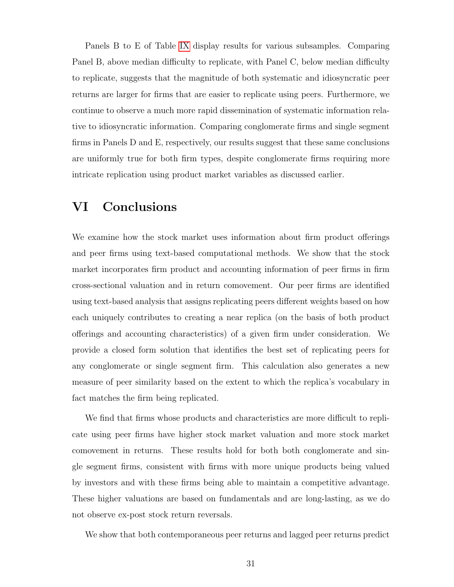Panels B to E of Table [IX](#page-43-0) display results for various subsamples. Comparing Panel B, above median difficulty to replicate, with Panel C, below median difficulty to replicate, suggests that the magnitude of both systematic and idiosyncratic peer returns are larger for firms that are easier to replicate using peers. Furthermore, we continue to observe a much more rapid dissemination of systematic information relative to idiosyncratic information. Comparing conglomerate firms and single segment firms in Panels D and E, respectively, our results suggest that these same conclusions are uniformly true for both firm types, despite conglomerate firms requiring more intricate replication using product market variables as discussed earlier.

# VI Conclusions

We examine how the stock market uses information about firm product offerings and peer firms using text-based computational methods. We show that the stock market incorporates firm product and accounting information of peer firms in firm cross-sectional valuation and in return comovement. Our peer firms are identified using text-based analysis that assigns replicating peers different weights based on how each uniquely contributes to creating a near replica (on the basis of both product offerings and accounting characteristics) of a given firm under consideration. We provide a closed form solution that identifies the best set of replicating peers for any conglomerate or single segment firm. This calculation also generates a new measure of peer similarity based on the extent to which the replica's vocabulary in fact matches the firm being replicated.

We find that firms whose products and characteristics are more difficult to replicate using peer firms have higher stock market valuation and more stock market comovement in returns. These results hold for both both conglomerate and single segment firms, consistent with firms with more unique products being valued by investors and with these firms being able to maintain a competitive advantage. These higher valuations are based on fundamentals and are long-lasting, as we do not observe ex-post stock return reversals.

We show that both contemporaneous peer returns and lagged peer returns predict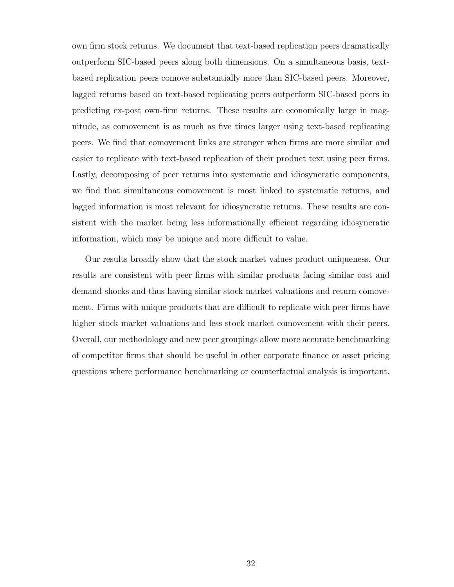own firm stock returns. We document that text-based replication peers dramatically outperform SIC-based peers along both dimensions. On a simultaneous basis, textbased replication peers comove substantially more than SIC-based peers. Moreover, lagged returns based on text-based replicating peers outperform SIC-based peers in predicting ex-post own-firm returns. These results are economically large in magnitude, as comovement is as much as five times larger using text-based replicating peers. We find that comovement links are stronger when firms are more similar and easier to replicate with text-based replication of their product text using peer firms. Lastly, decomposing of peer returns into systematic and idiosyncratic components, we find that simultaneous comovement is most linked to systematic returns, and lagged information is most relevant for idiosyncratic returns. These results are consistent with the market being less informationally efficient regarding idiosyncratic information, which may be unique and more difficult to value.

Our results broadly show that the stock market values product uniqueness. Our results are consistent with peer firms with similar products facing similar cost and demand shocks and thus having similar stock market valuations and return comovement. Firms with unique products that are difficult to replicate with peer firms have higher stock market valuations and less stock market comovement with their peers. Overall, our methodology and new peer groupings allow more accurate benchmarking of competitor firms that should be useful in other corporate finance or asset pricing questions where performance benchmarking or counterfactual analysis is important.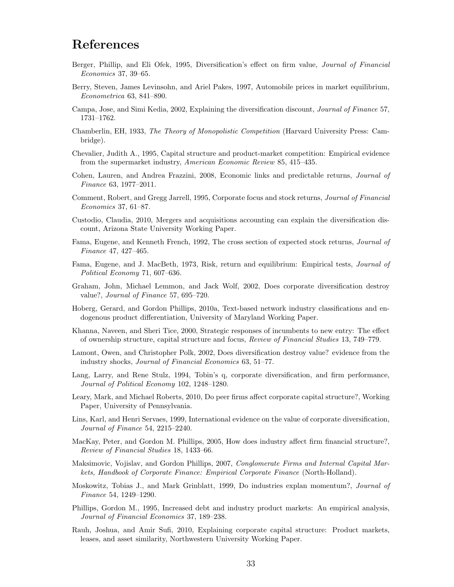# References

- Berger, Phillip, and Eli Ofek, 1995, Diversification's effect on firm value, Journal of Financial Economics 37, 39–65.
- Berry, Steven, James Levinsohn, and Ariel Pakes, 1997, Automobile prices in market equilibrium, Econometrica 63, 841–890.
- Campa, Jose, and Simi Kedia, 2002, Explaining the diversification discount, Journal of Finance 57, 1731–1762.
- Chamberlin, EH, 1933, The Theory of Monopolistic Competition (Harvard University Press: Cambridge).
- Chevalier, Judith A., 1995, Capital structure and product-market competition: Empirical evidence from the supermarket industry, American Economic Review 85, 415–435.
- Cohen, Lauren, and Andrea Frazzini, 2008, Economic links and predictable returns, Journal of Finance 63, 1977–2011.
- Comment, Robert, and Gregg Jarrell, 1995, Corporate focus and stock returns, Journal of Financial Economics 37, 61–87.
- Custodio, Claudia, 2010, Mergers and acquisitions accounting can explain the diversification discount, Arizona State University Working Paper.
- Fama, Eugene, and Kenneth French, 1992, The cross section of expected stock returns, Journal of Finance 47, 427–465.
- Fama, Eugene, and J. MacBeth, 1973, Risk, return and equilibrium: Empirical tests, Journal of Political Economy 71, 607–636.
- Graham, John, Michael Lemmon, and Jack Wolf, 2002, Does corporate diversification destroy value?, Journal of Finance 57, 695–720.
- Hoberg, Gerard, and Gordon Phillips, 2010a, Text-based network industry classifications and endogenous product differentiation, University of Maryland Working Paper.
- Khanna, Naveen, and Sheri Tice, 2000, Strategic responses of incumbents to new entry: The effect of ownership structure, capital structure and focus, Review of Financial Studies 13, 749–779.
- Lamont, Owen, and Christopher Polk, 2002, Does diversification destroy value? evidence from the industry shocks, Journal of Financial Economics 63, 51–77.
- Lang, Larry, and Rene Stulz, 1994, Tobin's q, corporate diversification, and firm performance, Journal of Political Economy 102, 1248–1280.
- Leary, Mark, and Michael Roberts, 2010, Do peer firms affect corporate capital structure?, Working Paper, University of Pennsylvania.
- Lins, Karl, and Henri Servaes, 1999, International evidence on the value of corporate diversification, Journal of Finance 54, 2215–2240.
- MacKay, Peter, and Gordon M. Phillips, 2005, How does industry affect firm financial structure?, Review of Financial Studies 18, 1433–66.
- Maksimovic, Vojislav, and Gordon Phillips, 2007, *Conglomerate Firms and Internal Capital Mar*kets, Handbook of Corporate Finance: Empirical Corporate Finance (North-Holland).
- Moskowitz, Tobias J., and Mark Grinblatt, 1999, Do industries explan momentum?, Journal of Finance 54, 1249–1290.
- Phillips, Gordon M., 1995, Increased debt and industry product markets: An empirical analysis, Journal of Financial Economics 37, 189–238.
- Rauh, Joshua, and Amir Sufi, 2010, Explaining corporate capital structure: Product markets, leases, and asset similarity, Northwestern University Working Paper.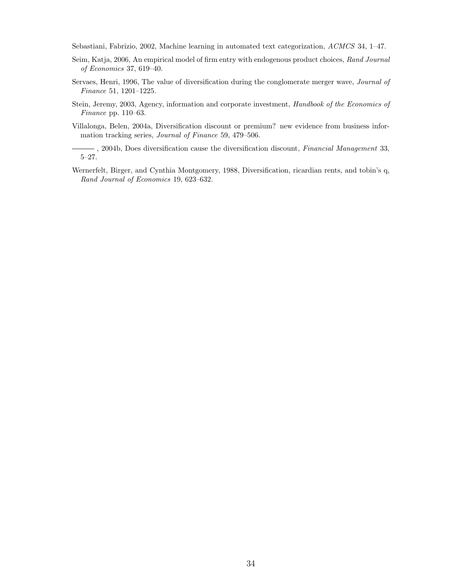Sebastiani, Fabrizio, 2002, Machine learning in automated text categorization, ACMCS 34, 1–47.

- Seim, Katja, 2006, An empirical model of firm entry with endogenous product choices, Rand Journal of Economics 37, 619–40.
- Servaes, Henri, 1996, The value of diversification during the conglomerate merger wave, Journal of Finance 51, 1201–1225.
- Stein, Jeremy, 2003, Agency, information and corporate investment, Handbook of the Economics of Finance pp. 110–63.
- Villalonga, Belen, 2004a, Diversification discount or premium? new evidence from business information tracking series, Journal of Finance 59, 479–506.
- , 2004b, Does diversification cause the diversification discount, Financial Management 33, 5–27.
- Wernerfelt, Birger, and Cynthia Montgomery, 1988, Diversification, ricardian rents, and tobin's q, Rand Journal of Economics 19, 623–632.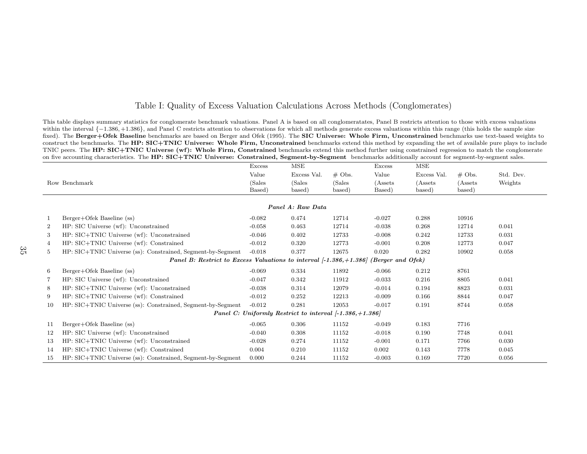### <span id="page-35-1"></span><span id="page-35-0"></span>Table I: Quality of Excess Valuation Calculations Across Methods (Conglomerates)

This table displays summary statistics for conglomerate benchmark valuations. Panel A is based on all conglomeratates, Panel B restricts attention to those with excess valuations within the interval {−<sup>1</sup>.386, +1.<sup>386</sup>}, and Panel <sup>C</sup> restricts attention to observations for which all methods generate excess valuations within this range (this holds the sample sizefixed). The Berger+Ofek Baseline benchmarks are based on Berger and Ofek (1995). The SIC Universe: Whole Firm, Unconstrained benchmarks use text-based weights to construct the benchmarks. The HP: SIC+TNIC Universe: Whole Firm, Unconstrained benchmarks extend this method by expanding the set of available pure plays to include TNIC peers. The HP: SIC+TNIC Universe (wf): Whole Firm, Constrained benchmarks extend this method further using constrained regression to match the conglomerate on five accounting characteristics. The  $HP: SIC+TNIC$  Universe:  $\emph{Construct}$  Constrained,  $\emph{Segment-by-Segment}$  benchmarks additionally account for segment-by-segment sales.

|                                                                                            |                                                             | Excess           | MSE              |                  | Excess             | MSE                |                    |           |  |  |
|--------------------------------------------------------------------------------------------|-------------------------------------------------------------|------------------|------------------|------------------|--------------------|--------------------|--------------------|-----------|--|--|
|                                                                                            |                                                             | Value            | Excess Val.      | $\#$ Obs.        | Value              | Excess Val.        | $\#$ Obs.          | Std. Dev. |  |  |
|                                                                                            | Row Benchmark                                               | (Sales<br>Based) | (Sales<br>based) | (Sales<br>based) | (Assets)<br>Based) | (Assets)<br>based) | (Assets)<br>based) | Weights   |  |  |
|                                                                                            |                                                             |                  |                  |                  |                    |                    |                    |           |  |  |
| Panel A: Raw Data                                                                          |                                                             |                  |                  |                  |                    |                    |                    |           |  |  |
| 1                                                                                          | Berger+Ofek Baseline (ss)                                   | $-0.082$         | 0.474            | 12714            | $-0.027$           | 0.288              | 10916              |           |  |  |
| $\overline{2}$                                                                             | HP: SIC Universe (wf): Unconstrained                        | $-0.058$         | 0.463            | 12714            | $-0.038$           | 0.268              | 12714              | 0.041     |  |  |
| 3                                                                                          | HP: SIC+TNIC Universe (wf): Unconstrained                   | $-0.046$         | 0.402            | 12733            | $-0.008$           | 0.242              | 12733              | 0.031     |  |  |
| 4                                                                                          | HP: SIC+TNIC Universe (wf): Constrained                     | $-0.012$         | 0.320            | 12773            | $-0.001$           | 0.208              | 12773              | 0.047     |  |  |
| 5                                                                                          | HP: SIC+TNIC Universe (ss): Constrained, Segment-by-Segment | $-0.018$         | 0.377            | 12675            | 0.020              | 0.282              | 10902              | 0.058     |  |  |
| Panel B: Restrict to Excess Valuations to interval $[-1.386, +1.386]$<br>(Berger and Ofek) |                                                             |                  |                  |                  |                    |                    |                    |           |  |  |
| 6                                                                                          | Berger+Ofek Baseline (ss)                                   | $-0.069$         | 0.334            | 11892            | $-0.066$           | 0.212              | 8761               |           |  |  |
| 7                                                                                          | HP: SIC Universe (wf): Unconstrained                        | $-0.047$         | 0.342            | 11912            | $-0.033$           | 0.216              | 8805               | 0.041     |  |  |
| 8                                                                                          | HP: SIC+TNIC Universe (wf): Unconstrained                   | $-0.038$         | 0.314            | 12079            | $-0.014$           | 0.194              | 8823               | 0.031     |  |  |
| 9                                                                                          | HP: SIC+TNIC Universe (wf): Constrained                     | $-0.012$         | 0.252            | 12213            | $-0.009$           | 0.166              | 8844               | 0.047     |  |  |
| 10                                                                                         | HP: SIC+TNIC Universe (ss): Constrained, Segment-by-Segment | $-0.012$         | 0.281            | 12053            | $-0.017$           | 0.191              | 8744               | 0.058     |  |  |
| Panel C: Uniformly Restrict to interval $[-1.386, +1.386]$                                 |                                                             |                  |                  |                  |                    |                    |                    |           |  |  |
| 11                                                                                         | Berger+Ofek Baseline (ss)                                   | $-0.065$         | 0.306            | 11152            | $-0.049$           | 0.183              | 7716               |           |  |  |
| 12                                                                                         | HP: SIC Universe (wf): Unconstrained                        | $-0.040$         | 0.308            | 11152            | $-0.018$           | 0.190              | 7748               | 0.041     |  |  |
| 13                                                                                         | HP: SIC+TNIC Universe (wf): Unconstrained                   | $-0.028$         | 0.274            | 11152            | $-0.001$           | 0.171              | 7766               | 0.030     |  |  |
| 14                                                                                         | HP: SIC+TNIC Universe (wf): Constrained                     | 0.004            | 0.210            | 11152            | 0.002              | 0.143              | 7778               | 0.045     |  |  |
| 15                                                                                         | HP: SIC+TNIC Universe (ss): Constrained, Segment-by-Segment | 0.000            | 0.244            | 11152            | $-0.003$           | 0.169              | 7720               | 0.056     |  |  |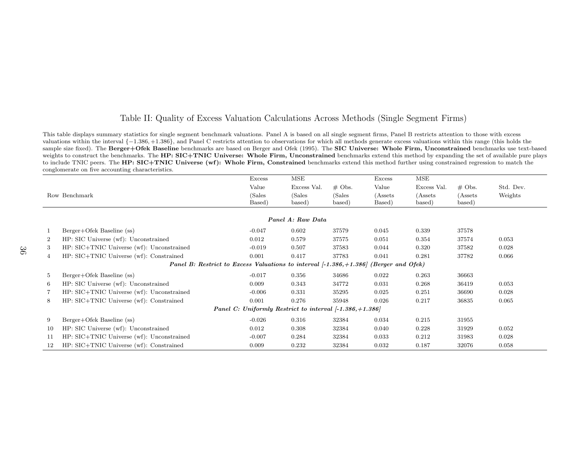### <span id="page-36-0"></span>Table II: Quality of Excess Valuation Calculations Across Methods (Single Segment Firms)

This table displays summary statistics for single segment benchmark valuations. Panel A is based on all single segment firms, Panel B restricts attention to those with excess valuations within the interval {−<sup>1</sup>.386, +1.<sup>386</sup>}, and Panel <sup>C</sup> restricts attention to observations for which all methods generate excess valuations within this range (this holds thesample size fixed). The Berger+Ofek Baseline benchmarks are based on Berger and Ofek (1995). The SIC Universe: Whole Firm, Unconstrained benchmarks use text-based weights to construct the benchmarks. The HP: SIC+TNIC Universe: Whole Firm, Unconstrained benchmarks extend this method by expanding the set of available pure plays to include TNIC peers. The HP: SIC+TNIC Universe (wf): Whole Firm, Constrained benchmarks extend this method further using constrained regression to match the conglomerate on five accounting characteristics.

|                                                            |                                                                       | Excess           | MSE              |                  | Excess             | MSE                |                   |           |  |  |  |
|------------------------------------------------------------|-----------------------------------------------------------------------|------------------|------------------|------------------|--------------------|--------------------|-------------------|-----------|--|--|--|
|                                                            |                                                                       | Value            | Excess Val.      | $#$ Obs.         | Value              | Excess Val.        | $\#$ Obs.         | Std. Dev. |  |  |  |
|                                                            | Row Benchmark                                                         | (Sales<br>Based) | (Sales<br>based) | (Sales<br>based) | (Assets)<br>Based) | (Assets)<br>based) | (Assets<br>based) | Weights   |  |  |  |
| Panel A: Raw Data                                          |                                                                       |                  |                  |                  |                    |                    |                   |           |  |  |  |
|                                                            | Berger+Ofek Baseline (ss)                                             | $-0.047$         | 0.602            | 37579            | 0.045              | 0.339              | 37578             |           |  |  |  |
| $\overline{2}$                                             | HP: SIC Universe (wf): Unconstrained                                  | 0.012            | 0.579            | 37575            | 0.051              | 0.354              | 37574             | 0.053     |  |  |  |
| 3                                                          | HP: SIC+TNIC Universe (wf): Unconstrained                             | $-0.019$         | 0.507            | 37583            | 0.044              | 0.320              | 37582             | 0.028     |  |  |  |
| 4                                                          | HP: SIC+TNIC Universe (wf): Constrained                               | 0.001            | 0.417            | 37783            | 0.041              | 0.281              | 37782             | 0.066     |  |  |  |
|                                                            | Panel B: Restrict to Excess Valuations to interval $[-1.386, +1.386]$ |                  |                  |                  | (Berger and Ofek)  |                    |                   |           |  |  |  |
| 5                                                          | Berger+Ofek Baseline (ss)                                             | $-0.017$         | 0.356            | 34686            | 0.022              | 0.263              | 36663             |           |  |  |  |
| 6                                                          | HP: SIC Universe (wf): Unconstrained                                  | 0.009            | 0.343            | 34772            | 0.031              | 0.268              | 36419             | 0.053     |  |  |  |
| $\overline{7}$                                             | HP: SIC+TNIC Universe (wf): Unconstrained                             | $-0.006$         | 0.331            | 35295            | 0.025              | 0.251              | 36690             | 0.028     |  |  |  |
| 8                                                          | HP: SIC+TNIC Universe (wf): Constrained                               | 0.001            | 0.276            | 35948            | 0.026              | 0.217              | 36835             | 0.065     |  |  |  |
| Panel C: Uniformly Restrict to interval $[-1.386, +1.386]$ |                                                                       |                  |                  |                  |                    |                    |                   |           |  |  |  |
| 9                                                          | Berger+Ofek Baseline (ss)                                             | $-0.026$         | 0.316            | 32384            | 0.034              | 0.215              | 31955             |           |  |  |  |
| 10                                                         | HP: SIC Universe (wf): Unconstrained                                  | 0.012            | 0.308            | 32384            | 0.040              | 0.228              | 31929             | 0.052     |  |  |  |
| 11                                                         | HP: SIC+TNIC Universe (wf): Unconstrained                             | $-0.007$         | 0.284            | 32384            | 0.033              | 0.212              | 31983             | 0.028     |  |  |  |
| 12                                                         | HP: SIC+TNIC Universe (wf): Constrained                               | 0.009            | 0.232            | 32384            | 0.032              | 0.187              | 32076             | 0.058     |  |  |  |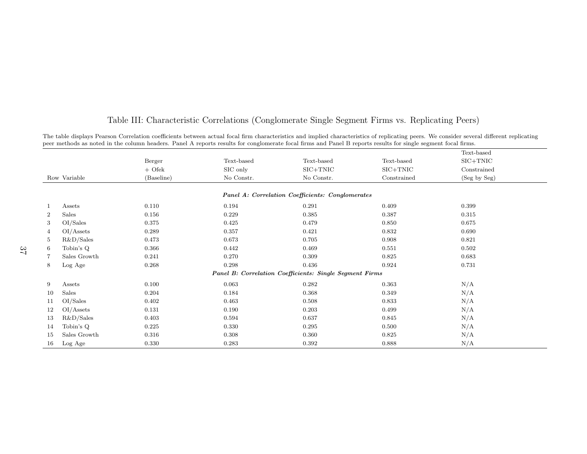|                         |            |            |                                                                |             | Text-based   |
|-------------------------|------------|------------|----------------------------------------------------------------|-------------|--------------|
|                         | Berger     | Text-based | Text-based                                                     | Text-based  | $SIC+TNIC$   |
|                         | $+$ Ofek   | SIC only   | $SIC+TNIC$                                                     | $SIC+TNIC$  | Constrained  |
| Row Variable            | (Baseline) | No Constr. | No Constr.                                                     | Constrained | (Seg by Seg) |
|                         |            |            | Panel A: Correlation Coefficients: Conglomerates               |             |              |
| Assets<br>1             | 0.110      | 0.194      | 0.291                                                          | 0.409       | 0.399        |
| Sales<br>$\overline{2}$ | 0.156      | 0.229      | 0.385                                                          | 0.387       | 0.315        |
| 3<br>OI/Sales           | 0.375      | 0.425      | 0.479                                                          | 0.850       | 0.675        |
| OI/Assets<br>4          | 0.289      | 0.357      | 0.421                                                          | 0.832       | 0.690        |
| R&D/Sales<br>5          | 0.473      | 0.673      | 0.705                                                          | 0.908       | 0.821        |
| Tobin's Q<br>6          | 0.366      | 0.442      | 0.469                                                          | 0.551       | 0.502        |
| Sales Growth<br>7       | 0.241      | 0.270      | 0.309                                                          | 0.825       | 0.683        |
| Log Age<br>8            | 0.268      | 0.298      | 0.436                                                          | 0.924       | 0.731        |
|                         |            |            | <b>Panel B: Correlation Coefficients: Single Segment Firms</b> |             |              |
| 9<br>Assets             | 0.100      | 0.063      | 0.282                                                          | 0.363       | N/A          |
| Sales<br>10             | 0.204      | 0.184      | 0.368                                                          | 0.349       | N/A          |
| OI/Sales<br>11          | 0.402      | 0.463      | 0.508                                                          | 0.833       | N/A          |
| OI/Assets<br>12         | 0.131      | 0.190      | 0.203                                                          | 0.499       | N/A          |
| R&D/Sales<br>-13        | 0.403      | 0.594      | 0.637                                                          | 0.845       | N/A          |
| Tobin's Q<br>14         | 0.225      | 0.330      | 0.295                                                          | 0.500       | N/A          |
| Sales Growth<br>15      | 0.316      | 0.308      | 0.360                                                          | 0.825       | N/A          |
| Log Age<br>16           | 0.330      | 0.283      | 0.392                                                          | 0.888       | N/A          |

# <span id="page-37-0"></span>Table III: Characteristic Correlations (Conglomerate Single Segment Firms vs. Replicating Peers)

The table displays Pearson Correlation coefficients between actual focal firm characteristics and implied characteristics of replicating peers. We consider several different replicating<br>peer methods as noted in the column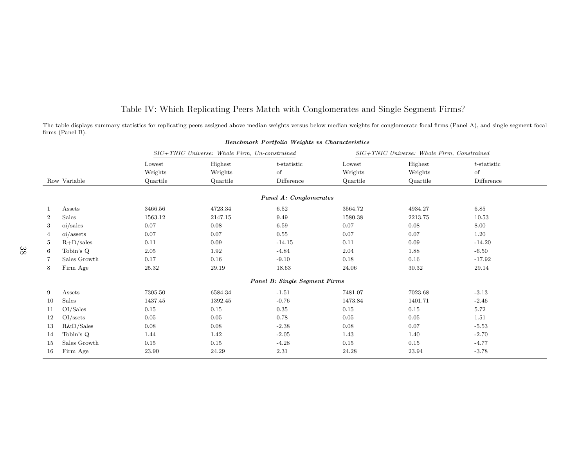|                |              |                                               |                    | <b>Benchmark Portfolio Weights vs Characteristics</b> |                   |                                            |                      |
|----------------|--------------|-----------------------------------------------|--------------------|-------------------------------------------------------|-------------------|--------------------------------------------|----------------------|
|                |              | SIC+TNIC Universe: Whole Firm, Un-constrained |                    |                                                       |                   | SIC+TNIC Universe: Whole Firm, Constrained |                      |
|                |              | Lowest<br>Weights                             | Highest<br>Weights | $t$ -statistic<br>of                                  | Lowest<br>Weights | Highest<br>Weights                         | $t$ -statistic<br>of |
|                | Row Variable | Quartile                                      | Quartile           | Difference                                            | Quartile          | Quartile                                   | Difference           |
|                |              |                                               |                    | Panel A: Conglomerates                                |                   |                                            |                      |
|                | Assets       | 3466.56                                       | 4723.34            | 6.52                                                  | 3564.72           | 4934.27                                    | 6.85                 |
| $\overline{2}$ | Sales        | 1563.12                                       | 2147.15            | 9.49                                                  | 1580.38           | 2213.75                                    | 10.53                |
| 3              | oi/sales     | 0.07                                          | 0.08               | 6.59                                                  | 0.07              | 0.08                                       | 8.00                 |
| 4              | oi/assets    | 0.07                                          | 0.07               | 0.55                                                  | 0.07              | 0.07                                       | 1.20                 |
| 5              | $R+D/sales$  | 0.11                                          | 0.09               | $-14.15$                                              | 0.11              | 0.09                                       | $-14.20$             |
| 6              | Tobin's Q    | 2.05                                          | 1.92               | $-4.84$                                               | 2.04              | 1.88                                       | $-6.50$              |
| 7              | Sales Growth | 0.17                                          | 0.16               | $-9.10$                                               | 0.18              | 0.16                                       | $-17.92$             |
| 8              | Firm Age     | $25.32\,$                                     | 29.19              | 18.63                                                 | 24.06             | 30.32                                      | 29.14                |
|                |              |                                               |                    | Panel B: Single Segment Firms                         |                   |                                            |                      |
| 9              | Assets       | 7305.50                                       | 6584.34            | $-1.51$                                               | 7481.07           | 7023.68                                    | $-3.13$              |
| 10             | Sales        | 1437.45                                       | 1392.45            | $-0.76$                                               | 1473.84           | 1401.71                                    | $-2.46$              |
| 11             | OI/Sales     | 0.15                                          | 0.15               | 0.35                                                  | 0.15              | 0.15                                       | 5.72                 |
| 12             | $OI$ /ssets  | $0.05\,$                                      | 0.05               | 0.78                                                  | $0.05\,$          | 0.05                                       | 1.51                 |
| 13             | R&D/Sales    | 0.08                                          | 0.08               | $-2.38$                                               | 0.08              | 0.07                                       | $-5.53$              |
| -14            | Tobin's Q    | 1.44                                          | 1.42               | $-2.05$                                               | 1.43              | 1.40                                       | $-2.70$              |
| 15             | Sales Growth | 0.15                                          | 0.15               | $-4.28$                                               | 0.15              | 0.15                                       | $-4.77$              |
| 16             | Firm Age     | 23.90                                         | 24.29              | 2.31                                                  | 24.28             | 23.94                                      | $-3.78$              |

<span id="page-38-0"></span>Table IV: Which Replicating Peers Match with Conglomerates and Single Segment Firms?

The table displays summary statistics for replicating peers assigned above median weights versus below median weights for conglomerate focal firms (Panel A), and single segment focalfirms (Panel B).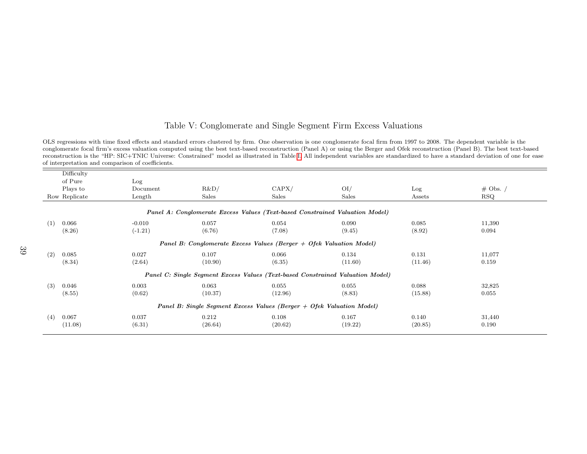## <span id="page-39-1"></span><span id="page-39-0"></span>Table V: Conglomerate and Single Segment Firm Excess Valuations

OLS regressions with time fixed effects and standard errors clustered by firm. One observation is one conglomerate focal firm from 1997 to 2008. The dependent variable is the conglomerate focal firm's excess valuation computed using the best text-based reconstruction (Panel A) or using the Berger and Ofek reconstruction (Panel B). The best text-based reconstruction is the "HP: SIC+TNIC Universe: Constrained" model as illustrated in Table [I.](#page-35-1) All independent variables are standardized to have <sup>a</sup> standard deviation of one for easeof interpretation and comparison of coefficients.

| Log                                                                   |         |         |                  |                                                                       |                                                                                                                                                                           |  |  |  |  |
|-----------------------------------------------------------------------|---------|---------|------------------|-----------------------------------------------------------------------|---------------------------------------------------------------------------------------------------------------------------------------------------------------------------|--|--|--|--|
| Document                                                              | R&D/    | CAPX/   | O <sub>I</sub> / | Log                                                                   | $\#$ Obs. /                                                                                                                                                               |  |  |  |  |
| Length                                                                | Sales   | Sales   | Sales            | Assets                                                                | $_{\rm RSQ}$                                                                                                                                                              |  |  |  |  |
|                                                                       |         |         |                  |                                                                       |                                                                                                                                                                           |  |  |  |  |
| $-0.010$                                                              | 0.057   | 0.054   | 0.090            | 0.085                                                                 | 11,390                                                                                                                                                                    |  |  |  |  |
| $(-1.21)$                                                             | (6.76)  | (7.08)  | (9.45)           | (8.92)                                                                | 0.094                                                                                                                                                                     |  |  |  |  |
|                                                                       |         |         |                  |                                                                       |                                                                                                                                                                           |  |  |  |  |
| 0.027                                                                 | 0.107   | 0.066   | 0.134            | 0.131                                                                 | 11,077                                                                                                                                                                    |  |  |  |  |
| (2.64)                                                                | (10.90) | (6.35)  | (11.60)          | (11.46)                                                               | 0.159                                                                                                                                                                     |  |  |  |  |
|                                                                       |         |         |                  |                                                                       |                                                                                                                                                                           |  |  |  |  |
| 0.003                                                                 | 0.063   | 0.055   | 0.055            | 0.088                                                                 | 32,825                                                                                                                                                                    |  |  |  |  |
| (0.62)                                                                | (10.37) | (12.96) | (8.83)           | (15.88)                                                               | 0.055                                                                                                                                                                     |  |  |  |  |
| Panel B: Single Segment Excess Values (Berger + Ofek Valuation Model) |         |         |                  |                                                                       |                                                                                                                                                                           |  |  |  |  |
| 0.037                                                                 | 0.212   | 0.108   | 0.167            | 0.140                                                                 | 31,440                                                                                                                                                                    |  |  |  |  |
| (6.31)                                                                | (26.64) | (20.62) | (19.22)          |                                                                       | 0.190                                                                                                                                                                     |  |  |  |  |
|                                                                       |         |         |                  | Panel B: Conglomerate Excess Values (Berger $+$ Ofek Valuation Model) | Panel A: Conglomerate Excess Values (Text-based Constrained Valuation Model)<br>Panel C: Single Segment Excess Values (Text-based Constrained Valuation Model)<br>(20.85) |  |  |  |  |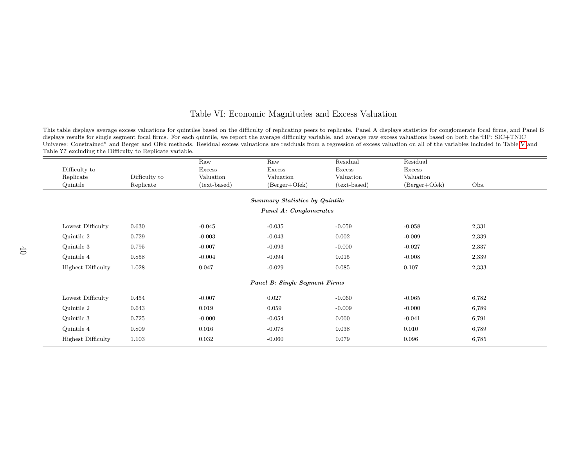### <span id="page-40-0"></span>Table VI: Economic Magnitudes and Excess Valuation

This table displays average excess valuations for quintiles based on the difficulty of replicating peers to replicate. Panel A displays statistics for conglomerate focal firms, and Panel B displays results for single segment focal firms. For each quintile, we report the average difficulty variable, and average raw excess valuations based on both the"HP: SIC+TNIC Universe: Constrained" and Berger and Ofek methods. Residual excess valuations are residuals from <sup>a</sup> regression of excess valuation on all of the variables included in Table [V](#page-39-1) andTable ?? excluding the Difficulty to Replicate variable.

|                           |               | Raw          | Raw                                   | Residual     | Residual        |       |  |  |  |  |  |
|---------------------------|---------------|--------------|---------------------------------------|--------------|-----------------|-------|--|--|--|--|--|
| Difficulty to             |               | Excess       | Excess                                | Excess       | Excess          |       |  |  |  |  |  |
| Replicate                 | Difficulty to | Valuation    | Valuation                             | Valuation    | Valuation       |       |  |  |  |  |  |
| Quintile                  | Replicate     | (text-based) | (Berger+Ofek)                         | (text-based) | $(Berger+Ofek)$ | Obs.  |  |  |  |  |  |
|                           |               |              | <b>Summary Statistics by Quintile</b> |              |                 |       |  |  |  |  |  |
|                           |               |              |                                       |              |                 |       |  |  |  |  |  |
| Panel A: Conglomerates    |               |              |                                       |              |                 |       |  |  |  |  |  |
| Lowest Difficulty         | 0.630         | $-0.045$     | $-0.035$                              | $-0.059$     | $-0.058$        | 2,331 |  |  |  |  |  |
| Quintile 2                | 0.729         | $-0.003$     | $-0.043$                              | 0.002        | $-0.009$        | 2,339 |  |  |  |  |  |
| Quintile 3                | 0.795         | $-0.007$     | $-0.093$                              | $-0.000$     | $-0.027$        | 2,337 |  |  |  |  |  |
| Quintile 4                | 0.858         | $-0.004$     | $-0.094$                              | 0.015        | $-0.008$        | 2,339 |  |  |  |  |  |
| <b>Highest Difficulty</b> | 1.028         | 0.047        | $-0.029$                              | 0.085        | 0.107           | 2,333 |  |  |  |  |  |
|                           |               |              | <b>Panel B: Single Segment Firms</b>  |              |                 |       |  |  |  |  |  |
|                           |               |              |                                       |              |                 |       |  |  |  |  |  |
| Lowest Difficulty         | 0.454         | $-0.007$     | 0.027                                 | $-0.060$     | $-0.065$        | 6,782 |  |  |  |  |  |
| Quintile 2                | 0.643         | 0.019        | 0.059                                 | $-0.009$     | $-0.000$        | 6,789 |  |  |  |  |  |
| Quintile 3                | 0.725         | $-0.000$     | $-0.054$                              | 0.000        | $-0.041$        | 6,791 |  |  |  |  |  |
| Quintile 4                | 0.809         | 0.016        | $-0.078$                              | 0.038        | 0.010           | 6,789 |  |  |  |  |  |
| <b>Highest Difficulty</b> | 1.103         | 0.032        | $-0.060$                              | 0.079        | 0.096           | 6,785 |  |  |  |  |  |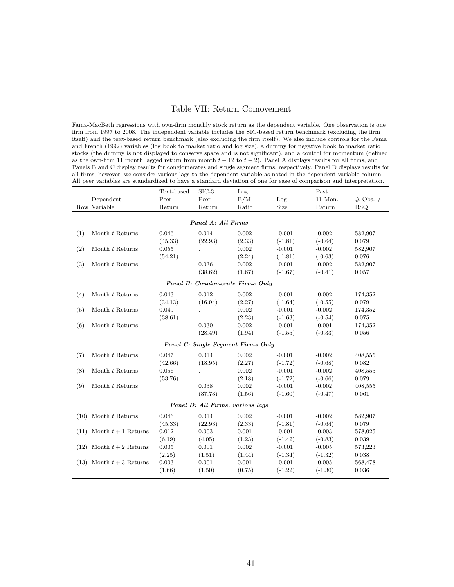### <span id="page-41-0"></span>Table VII: Return Comovement

Fama-MacBeth regressions with own-firm monthly stock return as the dependent variable. One observation is one firm from 1997 to 2008. The independent variable includes the SIC-based return benchmark (excluding the firm itself) and the text-based return benchmark (also excluding the firm itself). We also include controls for the Fama and French (1992) variables (log book to market ratio and log size), a dummy for negative book to market ratio stocks (the dummy is not displayed to conserve space and is not significant), and a control for momentum (defined as the own-firm 11 month lagged return from month  $t - 12$  to  $t - 2$ ). Panel A displays results for all firms, and Panels B and C display results for conglomerates and single segment firms, respectively. Panel D displays results for all firms, however, we consider various lags to the dependent variable as noted in the dependent variable column. All peer variables are standardized to have a standard deviation of one for ease of comparison and interpretation.

|     |                              | Text-based  | $SIC-3$                            | Log    |           | Past      |            |
|-----|------------------------------|-------------|------------------------------------|--------|-----------|-----------|------------|
|     | Dependent                    | Peer        | Peer                               | B/M    | Log       | 11 Mon.   | $#$ Obs. / |
|     | Row Variable                 | Return      | Return                             | Ratio  | Size      | Return    | <b>RSQ</b> |
|     |                              |             |                                    |        |           |           |            |
|     |                              |             | Panel A: All Firms                 |        |           |           |            |
| (1) | Month t Returns              | 0.046       | 0.014                              | 0.002  | $-0.001$  | $-0.002$  | 582,907    |
|     |                              | (45.33)     | (22.93)                            | (2.33) | $(-1.81)$ | $(-0.64)$ | 0.079      |
| (2) | Month t Returns              | 0.055       |                                    | 0.002  | $-0.001$  | $-0.002$  | 582,907    |
|     |                              | (54.21)     |                                    | (2.24) | $(-1.81)$ | $(-0.63)$ | 0.076      |
| (3) | Month t Returns              |             | 0.036                              | 0.002  | $-0.001$  | $-0.002$  | 582,907    |
|     |                              |             | (38.62)                            | (1.67) | $(-1.67)$ | $(-0.41)$ | 0.057      |
|     |                              |             | Panel B: Conglomerate Firms Only   |        |           |           |            |
| (4) | Month t Returns              | 0.043       | 0.012                              | 0.002  | $-0.001$  | $-0.002$  | 174,352    |
|     |                              | (34.13)     | (16.94)                            | (2.27) | $(-1.64)$ | $(-0.55)$ | 0.079      |
| (5) | Month t Returns              | 0.049       |                                    | 0.002  | $-0.001$  | $-0.002$  | 174,352    |
|     |                              | (38.61)     |                                    | (2.23) | $(-1.63)$ | $(-0.54)$ | 0.075      |
| (6) | Month t Returns              |             | 0.030                              | 0.002  | $-0.001$  | $-0.001$  | 174,352    |
|     |                              |             | (28.49)                            | (1.94) | $(-1.55)$ | $(-0.33)$ | 0.056      |
|     |                              |             | Panel C: Single Segment Firms Only |        |           |           |            |
| (7) | Month t Returns              | 0.047       | 0.014                              | 0.002  | $-0.001$  | $-0.002$  | 408,555    |
|     |                              | (42.66)     | (18.95)                            | (2.27) | $(-1.72)$ | $(-0.68)$ | 0.082      |
| (8) | Month t Returns              | 0.056       |                                    | 0.002  | $-0.001$  | $-0.002$  | 408,555    |
|     |                              | (53.76)     |                                    | (2.18) | $(-1.72)$ | $(-0.66)$ | 0.079      |
| (9) | Month t Returns              |             | 0.038                              | 0.002  | $-0.001$  | $-0.002$  | 408,555    |
|     |                              |             | (37.73)                            | (1.56) | $(-1.60)$ | $(-0.47)$ | 0.061      |
|     |                              |             | Panel D: All Firms, various lags   |        |           |           |            |
|     |                              |             |                                    |        |           |           |            |
|     | $(10)$ Month t Returns       | $\,0.046\,$ | 0.014                              | 0.002  | $-0.001$  | $-0.002$  | 582,907    |
|     |                              | (45.33)     | (22.93)                            | (2.33) | $(-1.81)$ | $(-0.64)$ | 0.079      |
|     | $(11)$ Month $t+1$ Returns   | 0.012       | 0.003                              | 0.001  | $-0.001$  | $-0.003$  | 578,025    |
|     |                              | (6.19)      | (4.05)                             | (1.23) | $(-1.42)$ | $(-0.83)$ | 0.039      |
|     | $(12)$ Month $t + 2$ Returns | 0.005       | 0.001                              | 0.002  | $-0.001$  | $-0.005$  | 573,223    |
|     |                              | (2.25)      | (1.51)                             | (1.44) | $(-1.34)$ | $(-1.32)$ | 0.038      |
|     | $(13)$ Month $t + 3$ Returns | 0.003       | 0.001                              | 0.001  | $-0.001$  | $-0.005$  | 568,478    |
|     |                              | (1.66)      | (1.50)                             | (0.75) | $(-1.22)$ | $(-1.30)$ | 0.036      |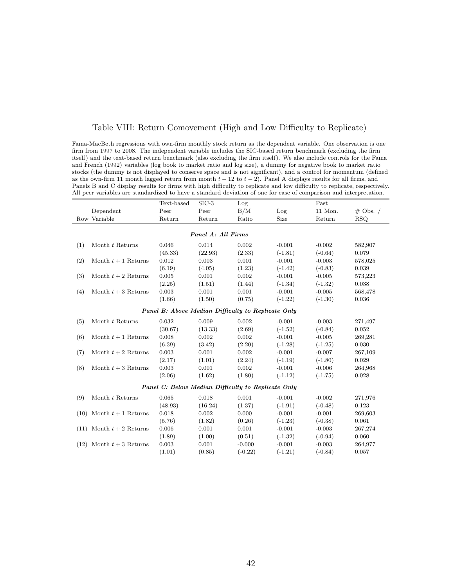### <span id="page-42-0"></span>Table VIII: Return Comovement (High and Low Difficulty to Replicate)

Fama-MacBeth regressions with own-firm monthly stock return as the dependent variable. One observation is one firm from 1997 to 2008. The independent variable includes the SIC-based return benchmark (excluding the firm itself) and the text-based return benchmark (also excluding the firm itself). We also include controls for the Fama and French (1992) variables (log book to market ratio and log size), a dummy for negative book to market ratio stocks (the dummy is not displayed to conserve space and is not significant), and a control for momentum (defined as the own-firm 11 month lagged return from month  $t - 12$  to  $t - 2$ ). Panel A displays results for all firms, and Panels B and C display results for firms with high difficulty to replicate and low difficulty to replicate, respectively. All peer variables are standardized to have a standard deviation of one for ease of comparison and interpretation.

|                                                    |                              | Text-based                                         | $SIC-3$ | Log       |           | Past      |             |  |  |  |
|----------------------------------------------------|------------------------------|----------------------------------------------------|---------|-----------|-----------|-----------|-------------|--|--|--|
|                                                    | Dependent                    | Peer                                               | Peer    | B/M       | Log       | 11 Mon.   | $\#$ Obs. / |  |  |  |
|                                                    | Row Variable                 | Return                                             | Return  | Ratio     | Size      | Return    | RSQ.        |  |  |  |
|                                                    |                              |                                                    |         |           |           |           |             |  |  |  |
| Panel A: All Firms                                 |                              |                                                    |         |           |           |           |             |  |  |  |
| (1)                                                | Month t Returns              | 0.046                                              | 0.014   | 0.002     | $-0.001$  | $-0.002$  | 582,907     |  |  |  |
|                                                    |                              | (45.33)                                            | (22.93) | (2.33)    | $(-1.81)$ | $(-0.64)$ | 0.079       |  |  |  |
| (2)                                                | Month $t+1$ Returns          | 0.012                                              | 0.003   | 0.001     | $-0.001$  | $-0.003$  | 578,025     |  |  |  |
|                                                    |                              | (6.19)                                             | (4.05)  | (1.23)    | $(-1.42)$ | $(-0.83)$ | 0.039       |  |  |  |
| (3)                                                | Month $t+2$ Returns          | 0.005                                              | 0.001   | 0.002     | $-0.001$  | $-0.005$  | 573,223     |  |  |  |
|                                                    |                              | (2.25)                                             | (1.51)  | (1.44)    | $(-1.34)$ | $(-1.32)$ | 0.038       |  |  |  |
| (4)                                                | Month $t+3$ Returns          | 0.003                                              | 0.001   | 0.001     | $-0.001$  | $-0.005$  | 568,478     |  |  |  |
|                                                    |                              | (1.66)                                             | (1.50)  | (0.75)    | $(-1.22)$ | $(-1.30)$ | 0.036       |  |  |  |
| Panel B: Above Median Difficulty to Replicate Only |                              |                                                    |         |           |           |           |             |  |  |  |
| (5)                                                | Month t Returns              | 0.032                                              | 0.009   | 0.002     | $-0.001$  | $-0.003$  | 271,497     |  |  |  |
|                                                    |                              | (30.67)                                            | (13.33) | (2.69)    | $(-1.52)$ | $(-0.84)$ | 0.052       |  |  |  |
| (6)                                                | Month $t+1$ Returns          | 0.008                                              | 0.002   | 0.002     | $-0.001$  | $-0.005$  | 269,281     |  |  |  |
|                                                    |                              | (6.39)                                             | (3.42)  | (2.20)    | $(-1.28)$ | $(-1.25)$ | 0.030       |  |  |  |
| (7)                                                | Month $t+2$ Returns          | 0.003                                              | 0.001   | 0.002     | $-0.001$  | $-0.007$  | 267,109     |  |  |  |
|                                                    |                              | (2.17)                                             | (1.01)  | (2.24)    | $(-1.19)$ | $(-1.80)$ | 0.029       |  |  |  |
| (8)                                                | Month $t+3$ Returns          | 0.003                                              | 0.001   | 0.002     | $-0.001$  | $-0.006$  | 264,968     |  |  |  |
|                                                    |                              | (2.06)                                             | (1.62)  | (1.80)    | $(-1.12)$ | $(-1.75)$ | 0.028       |  |  |  |
|                                                    |                              |                                                    |         |           |           |           |             |  |  |  |
|                                                    |                              | Panel C: Below Median Difficulty to Replicate Only |         |           |           |           |             |  |  |  |
| (9)                                                | Month t Returns              | 0.065                                              | 0.018   | 0.001     | $-0.001$  | $-0.002$  | 271,976     |  |  |  |
|                                                    |                              | (48.93)                                            | (16.24) | (1.37)    | $(-1.91)$ | $(-0.48)$ | 0.123       |  |  |  |
|                                                    | $(10)$ Month $t+1$ Returns   | 0.018                                              | 0.002   | 0.000     | $-0.001$  | $-0.001$  | 269,603     |  |  |  |
|                                                    |                              | (5.76)                                             | (1.82)  | (0.26)    | $(-1.23)$ | $(-0.38)$ | 0.061       |  |  |  |
|                                                    | $(11)$ Month $t + 2$ Returns | 0.006                                              | 0.001   | 0.001     | $-0.001$  | $-0.003$  | 267,274     |  |  |  |
|                                                    |                              | (1.89)                                             | (1.00)  | (0.51)    | $(-1.32)$ | $(-0.94)$ | 0.060       |  |  |  |
|                                                    | $(12)$ Month $t + 3$ Returns | 0.003                                              | 0.001   | $-0.000$  | $-0.001$  | $-0.003$  | 264,977     |  |  |  |
|                                                    |                              | (1.01)                                             | (0.85)  | $(-0.22)$ | $(-1.21)$ | $(-0.84)$ | 0.057       |  |  |  |
|                                                    |                              |                                                    |         |           |           |           |             |  |  |  |